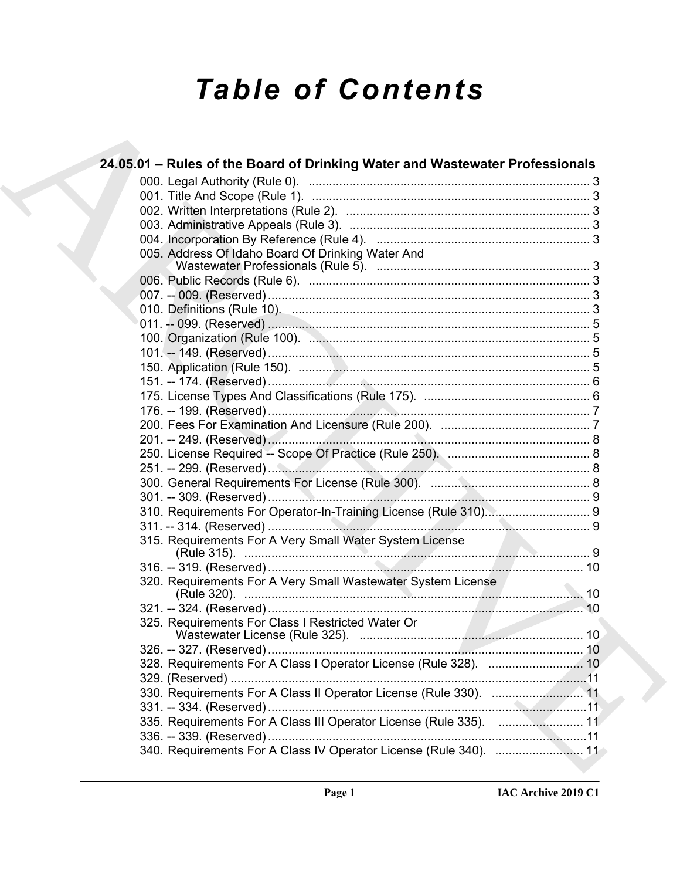# **Table of Contents**

| 24.05.01 – Rules of the Board of Drinking Water and Wastewater Professionals |
|------------------------------------------------------------------------------|
|                                                                              |
|                                                                              |
|                                                                              |
|                                                                              |
|                                                                              |
| 005. Address Of Idaho Board Of Drinking Water And                            |
|                                                                              |
|                                                                              |
|                                                                              |
|                                                                              |
|                                                                              |
|                                                                              |
|                                                                              |
|                                                                              |
|                                                                              |
|                                                                              |
|                                                                              |
|                                                                              |
|                                                                              |
|                                                                              |
|                                                                              |
|                                                                              |
|                                                                              |
|                                                                              |
|                                                                              |
| 315. Requirements For A Very Small Water System License                      |
|                                                                              |
| 320. Requirements For A Very Small Wastewater System License                 |
|                                                                              |
| 325. Requirements For Class I Restricted Water Or                            |
|                                                                              |
|                                                                              |
|                                                                              |
|                                                                              |
|                                                                              |
| 335. Requirements For A Class III Operator License (Rule 335).  11           |
|                                                                              |
| 340. Requirements For A Class IV Operator License (Rule 340).  11            |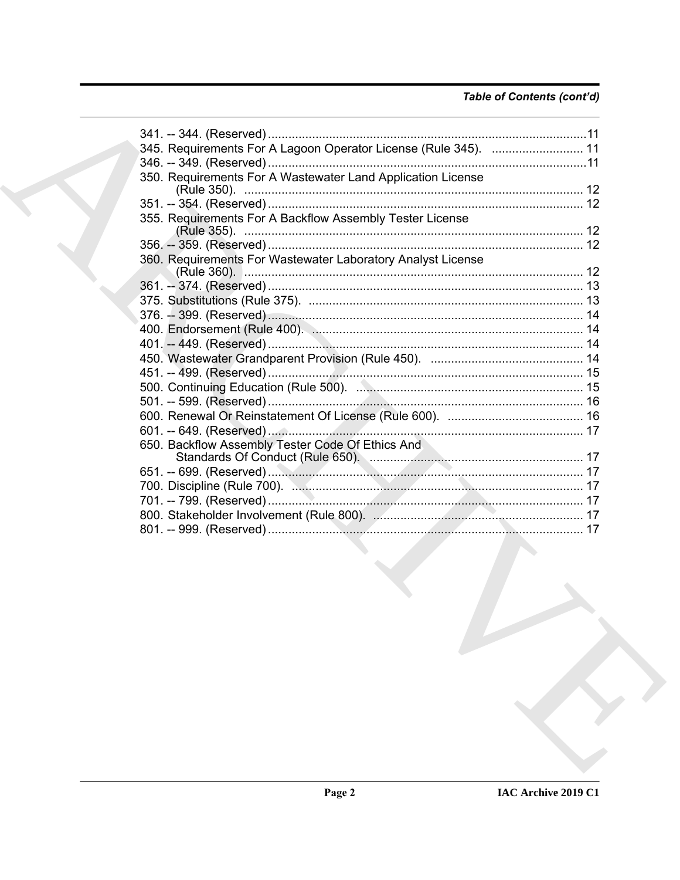# Table of Contents (cont'd)

| 345. Requirements For A Lagoon Operator License (Rule 345).  11 |  |
|-----------------------------------------------------------------|--|
|                                                                 |  |
| 350. Requirements For A Wastewater Land Application License     |  |
|                                                                 |  |
|                                                                 |  |
| 355. Requirements For A Backflow Assembly Tester License        |  |
|                                                                 |  |
| 360. Requirements For Wastewater Laboratory Analyst License     |  |
|                                                                 |  |
|                                                                 |  |
|                                                                 |  |
|                                                                 |  |
|                                                                 |  |
|                                                                 |  |
|                                                                 |  |
|                                                                 |  |
|                                                                 |  |
|                                                                 |  |
|                                                                 |  |
|                                                                 |  |
| 650. Backflow Assembly Tester Code Of Ethics And                |  |
|                                                                 |  |
|                                                                 |  |
|                                                                 |  |
|                                                                 |  |
|                                                                 |  |
|                                                                 |  |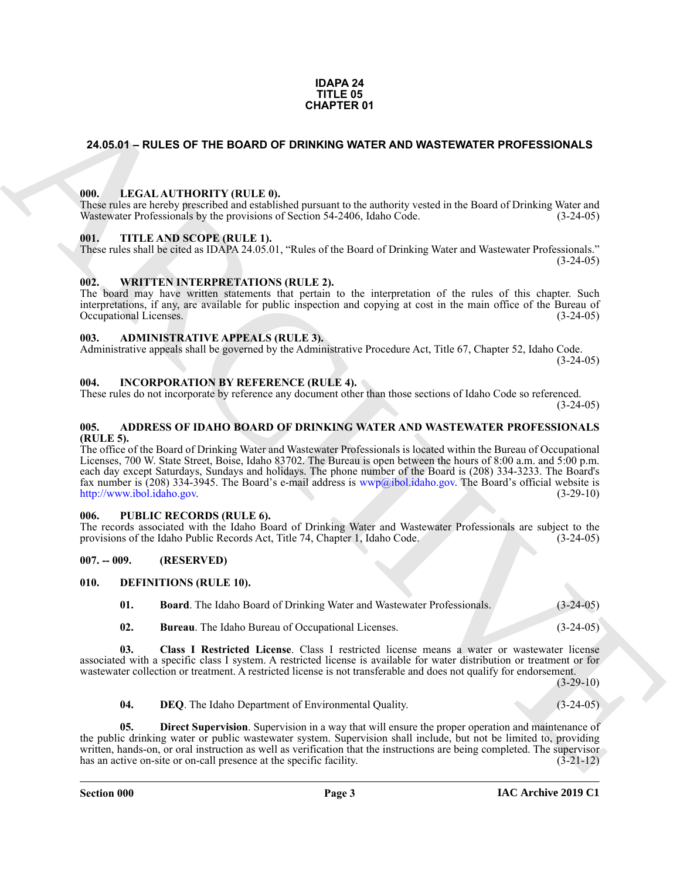#### **IDAPA 24 TITLE 05 CHAPTER 01**

# <span id="page-2-0"></span>**24.05.01 – RULES OF THE BOARD OF DRINKING WATER AND WASTEWATER PROFESSIONALS**

#### <span id="page-2-19"></span><span id="page-2-1"></span>**000. LEGAL AUTHORITY (RULE 0).**

These rules are hereby prescribed and established pursuant to the authority vested in the Board of Drinking Water and Wastewater Professionals by the provisions of Section 54-2406, Idaho Code. (3-24-05)

#### <span id="page-2-21"></span><span id="page-2-2"></span>**001. TITLE AND SCOPE (RULE 1).**

These rules shall be cited as IDAPA 24.05.01, "Rules of the Board of Drinking Water and Wastewater Professionals."  $(3-24-05)$ 

# <span id="page-2-22"></span><span id="page-2-3"></span>**002. WRITTEN INTERPRETATIONS (RULE 2).**

The board may have written statements that pertain to the interpretation of the rules of this chapter. Such interpretations, if any, are available for public inspection and copying at cost in the main office of the Bureau of Occupational Licenses. (3-24-05)

#### <span id="page-2-11"></span><span id="page-2-4"></span>**003. ADMINISTRATIVE APPEALS (RULE 3).**

Administrative appeals shall be governed by the Administrative Procedure Act, Title 67, Chapter 52, Idaho Code.  $(3-24-05)$ 

#### <span id="page-2-18"></span><span id="page-2-5"></span>**004. INCORPORATION BY REFERENCE (RULE 4).**

These rules do not incorporate by reference any document other than those sections of Idaho Code so referenced.  $(3-24-05)$ 

#### <span id="page-2-10"></span><span id="page-2-6"></span>**005. ADDRESS OF IDAHO BOARD OF DRINKING WATER AND WASTEWATER PROFESSIONALS (RULE 5).**

**CHAPTER OF**<br>
24.05.01 – RULES OF THE BOARD OF DRINKING WATER AND WASTEWATER PROFESSIONALS<br>
1991. LEGAL ALTHORITY (RULE)<br>
1992.<br>
1993. THE ANS SCOPE (RULE)<br>
1993. THE ANS SCOPE (RULE).<br>
1993. THE ANS SCOPE (RULE).<br>
1993. The office of the Board of Drinking Water and Wastewater Professionals is located within the Bureau of Occupational Licenses, 700 W. State Street, Boise, Idaho 83702. The Bureau is open between the hours of 8:00 a.m. and 5:00 p.m. each day except Saturdays, Sundays and holidays. The phone number of the Board is (208) 334-3233. The Board's fax number is (208) 334-3945. The Board's e-mail address is  $wwp@ibol.idaho.gov$ . The Board's official website is http://www.ibol.idaho.gov. (3-29-10) http://www.ibol.idaho.gov.

#### <span id="page-2-20"></span><span id="page-2-7"></span>**006. PUBLIC RECORDS (RULE 6).**

The records associated with the Idaho Board of Drinking Water and Wastewater Professionals are subject to the provisions of the Idaho Public Records Act, Title 74, Chapter 1, Idaho Code. (3-24-05) provisions of the Idaho Public Records Act, Title 74, Chapter 1, Idaho Code.

#### <span id="page-2-8"></span>**007. -- 009. (RESERVED)**

#### <span id="page-2-9"></span>**010. DEFINITIONS (RULE 10).**

<span id="page-2-13"></span><span id="page-2-12"></span>**01. Board**. The Idaho Board of Drinking Water and Wastewater Professionals. (3-24-05)

<span id="page-2-15"></span><span id="page-2-14"></span>**02. Bureau**. The Idaho Bureau of Occupational Licenses. (3-24-05)

**03. Class I Restricted License**. Class I restricted license means a water or wastewater license associated with a specific class I system. A restricted license is available for water distribution or treatment or for wastewater collection or treatment. A restricted license is not transferable and does not qualify for endorsement.

 $(3-29-10)$ 

<span id="page-2-17"></span><span id="page-2-16"></span>**04. DEQ**. The Idaho Department of Environmental Quality. (3-24-05)

**Direct Supervision**. Supervision in a way that will ensure the proper operation and maintenance of the public drinking water or public wastewater system. Supervision shall include, but not be limited to, providing written, hands-on, or oral instruction as well as verification that the instructions are being completed. The supervisor has an active on-site or on-call presence at the specific facility. (3-21-12) has an active on-site or on-call presence at the specific facility.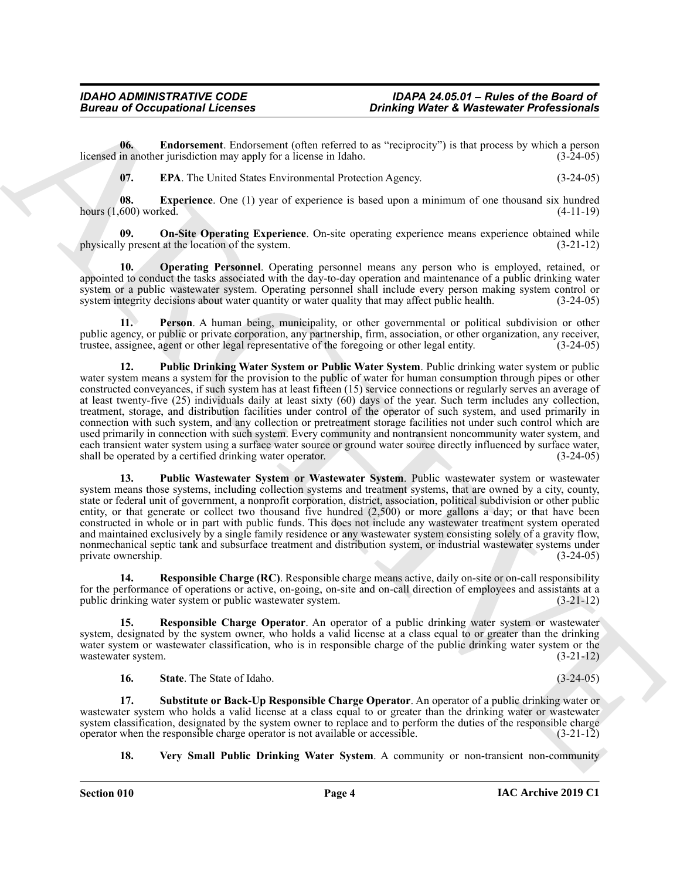**06. Endorsement**. Endorsement (often referred to as "reciprocity") is that process by which a person licensed in another jurisdiction may apply for a license in Idaho. (3-24-05)

<span id="page-3-3"></span><span id="page-3-2"></span><span id="page-3-1"></span><span id="page-3-0"></span>**07. EPA**. The United States Environmental Protection Agency. (3-24-05)

**08. Experience**. One (1) year of experience is based upon a minimum of one thousand six hundred hours (1,600) worked. (4-11-19)

**09. On-Site Operating Experience**. On-site operating experience means experience obtained while physically present at the location of the system. (3-21-12)

<span id="page-3-4"></span>**10. Operating Personnel**. Operating personnel means any person who is employed, retained, or appointed to conduct the tasks associated with the day-to-day operation and maintenance of a public drinking water system or a public wastewater system. Operating personnel shall include every person making system control or system integrity decisions about water quantity or water quality that may affect public health. (3-24-05)

<span id="page-3-6"></span><span id="page-3-5"></span>**11. Person**. A human being, municipality, or other governmental or political subdivision or other public agency, or public or private corporation, any partnership, firm, association, or other organization, any receiver, trustee, assignee, agent or other legal representative of the foregoing or other legal entity. (3-24-05)

Bureau of Occupational Licensins<br>
United by European Color and the Control of Control of the Color and the Color and the Color and the Color and the Color and the Color and the Color and the Color and the Color and the Co **12. Public Drinking Water System or Public Water System**. Public drinking water system or public water system means a system for the provision to the public of water for human consumption through pipes or other constructed conveyances, if such system has at least fifteen (15) service connections or regularly serves an average of at least twenty-five (25) individuals daily at least sixty (60) days of the year. Such term includes any collection, treatment, storage, and distribution facilities under control of the operator of such system, and used primarily in connection with such system, and any collection or pretreatment storage facilities not under such control which are used primarily in connection with such system. Every community and nontransient noncommunity water system, and each transient water system using a surface water source or ground water source directly influenced by surface water, shall be operated by a certified drinking water operator. (3-24-05)

<span id="page-3-7"></span>**13. Public Wastewater System or Wastewater System**. Public wastewater system or wastewater system means those systems, including collection systems and treatment systems, that are owned by a city, county, state or federal unit of government, a nonprofit corporation, district, association, political subdivision or other public entity, or that generate or collect two thousand five hundred (2,500) or more gallons a day; or that have been constructed in whole or in part with public funds. This does not include any wastewater treatment system operated and maintained exclusively by a single family residence or any wastewater system consisting solely of a gravity flow, nonmechanical septic tank and subsurface treatment and distribution system, or industrial wastewater systems under private ownership. (3-24-05)

<span id="page-3-8"></span>**14. Responsible Charge (RC)**. Responsible charge means active, daily on-site or on-call responsibility for the performance of operations or active, on-going, on-site and on-call direction of employees and assistants at a public drinking water system or public wastewater system. (3-21-12) public drinking water system or public wastewater system.

**15. Responsible Charge Operator**. An operator of a public drinking water system or wastewater system, designated by the system owner, who holds a valid license at a class equal to or greater than the drinking water system or wastewater classification, who is in responsible charge of the public drinking water system or the wastewater system. (3-21-12)

<span id="page-3-11"></span><span id="page-3-10"></span><span id="page-3-9"></span>**16. State**. The State of Idaho. (3-24-05)

**17. Substitute or Back-Up Responsible Charge Operator**. An operator of a public drinking water or wastewater system who holds a valid license at a class equal to or greater than the drinking water or wastewater system classification, designated by the system owner to replace and to perform the duties of the responsible charge operator when the responsible charge operator is not available or accessible. (3-21-12) operator when the responsible charge operator is not available or accessible.

<span id="page-3-12"></span>**18. Very Small Public Drinking Water System**. A community or non-transient non-community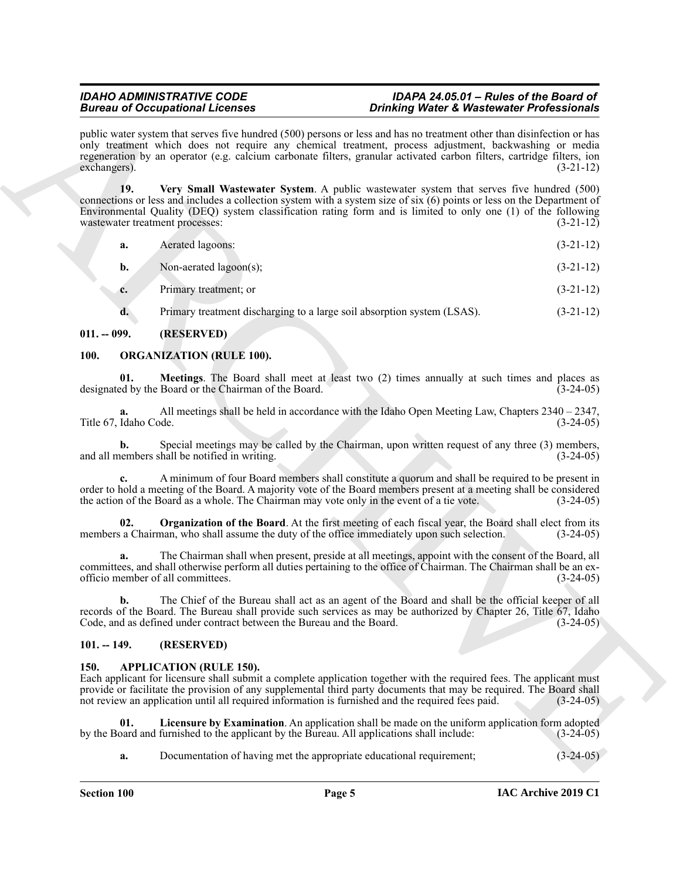public water system that serves five hundred (500) persons or less and has no treatment other than disinfection or has only treatment which does not require any chemical treatment, process adjustment, backwashing or media regeneration by an operator (e.g. calcium carbonate filters, granular activated carbon filters, cartridge filters, ion exchangers). (3-21-12)

Brainward Cocasion Christian Control and 1990 properties. One this which is Warkers when the structure of the control and the structure of the structure of the structure of the structure of the structure of the structure **19. Very Small Wastewater System**. A public wastewater system that serves five hundred (500) connections or less and includes a collection system with a system size of six (6) points or less on the Department of Environmental Quality (DEQ) system classification rating form and is limited to only one (1) of the following wastewater treatment processes: (3-21-12)

<span id="page-4-6"></span>

| a. | Aerated lagoons:       | $(3-21-12)$ |
|----|------------------------|-------------|
| b. | Non-aerated lagoon(s); | $(3-21-12)$ |

**c.** Primary treatment; or (3-21-12)

<span id="page-4-8"></span><span id="page-4-7"></span>**d.** Primary treatment discharging to a large soil absorption system (LSAS).  $(3-21-12)$ 

# <span id="page-4-0"></span>**011. -- 099. (RESERVED)**

# <span id="page-4-1"></span>**100. ORGANIZATION (RULE 100).**

**01. Meetings**. The Board shall meet at least two (2) times annually at such times and places as designated by the Board or the Chairman of the Board. (3-24-05)

**a.** All meetings shall be held in accordance with the Idaho Open Meeting Law, Chapters 2340 – 2347, Title 67, Idaho Code. (3-24-05)

**b.** Special meetings may be called by the Chairman, upon written request of any three (3) members, and all members shall be notified in writing. (3-24-05)

**c.** A minimum of four Board members shall constitute a quorum and shall be required to be present in order to hold a meeting of the Board. A majority vote of the Board members present at a meeting shall be considered the action of the Board as a whole. The Chairman may vote only in the event of a tie vote. (3-24-05) the action of the Board as a whole. The Chairman may vote only in the event of a tie vote.

<span id="page-4-9"></span>**02. Organization of the Board**. At the first meeting of each fiscal year, the Board shall elect from its members a Chairman, who shall assume the duty of the office immediately upon such selection.  $(3-24-05)$ 

**a.** The Chairman shall when present, preside at all meetings, appoint with the consent of the Board, all committees, and shall otherwise perform all duties pertaining to the office of Chairman. The Chairman shall be an exofficio member of all committees. (3-24-05)

**b.** The Chief of the Bureau shall act as an agent of the Board and shall be the official keeper of all records of the Board. The Bureau shall provide such services as may be authorized by Chapter 26, Title 67, Idaho Code, and as defined under contract between the Bureau and the Board. (3-24-05)

# <span id="page-4-2"></span>**101. -- 149. (RESERVED)**

# <span id="page-4-4"></span><span id="page-4-3"></span>**150. APPLICATION (RULE 150).**

Each applicant for licensure shall submit a complete application together with the required fees. The applicant must provide or facilitate the provision of any supplemental third party documents that may be required. The Board shall not review an application until all required information is furnished and the required fees paid.  $(3-24-05)$ 

**01.** Licensure by Examination. An application shall be made on the uniform application form adopted pard and furnished to the applicant by the Bureau. All applications shall include:  $(3-24-05)$ by the Board and furnished to the applicant by the Bureau. All applications shall include:

<span id="page-4-5"></span>**a.** Documentation of having met the appropriate educational requirement;  $(3-24-05)$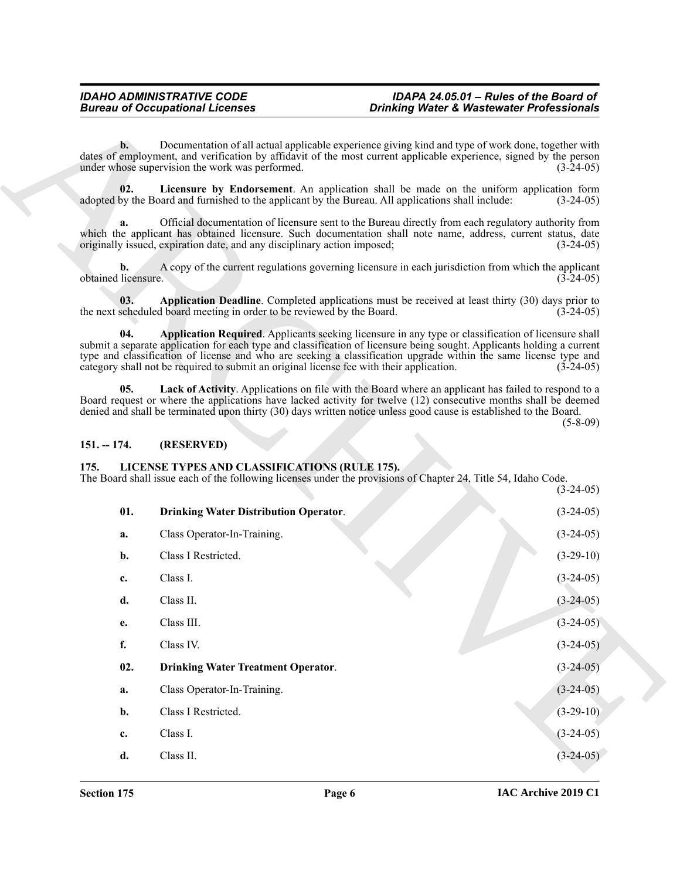#### <span id="page-5-4"></span><span id="page-5-3"></span><span id="page-5-2"></span><span id="page-5-0"></span>**151. -- 174. (RESERVED)**

# <span id="page-5-8"></span><span id="page-5-7"></span><span id="page-5-6"></span><span id="page-5-1"></span>**175. LICENSE TYPES AND CLASSIFICATIONS (RULE 175).**

<span id="page-5-5"></span>

|                           | <b>Bureau of Occupational Licenses</b>                                                                                                                                                                                                                                                                                                                                                                                                        | <b>Drinking Water &amp; Wastewater Professionals</b> |                            |
|---------------------------|-----------------------------------------------------------------------------------------------------------------------------------------------------------------------------------------------------------------------------------------------------------------------------------------------------------------------------------------------------------------------------------------------------------------------------------------------|------------------------------------------------------|----------------------------|
| $\mathbf{b}$ .            | Documentation of all actual applicable experience giving kind and type of work done, together with<br>dates of employment, and verification by affidavit of the most current applicable experience, signed by the person<br>under whose supervision the work was performed.                                                                                                                                                                   |                                                      | $(3-24-05)$                |
| 02.                       | Licensure by Endorsement. An application shall be made on the uniform application form<br>adopted by the Board and furnished to the applicant by the Bureau. All applications shall include:                                                                                                                                                                                                                                                  |                                                      | $(3-24-05)$                |
| a.                        | Official documentation of licensure sent to the Bureau directly from each regulatory authority from<br>which the applicant has obtained licensure. Such documentation shall note name, address, current status, date<br>originally issued, expiration date, and any disciplinary action imposed;                                                                                                                                              |                                                      | $(3-24-05)$                |
| b.<br>obtained licensure. | A copy of the current regulations governing licensure in each jurisdiction from which the applicant                                                                                                                                                                                                                                                                                                                                           |                                                      | $(3-24-05)$                |
| 03.                       | Application Deadline. Completed applications must be received at least thirty (30) days prior to<br>the next scheduled board meeting in order to be reviewed by the Board.                                                                                                                                                                                                                                                                    |                                                      | $(3-24-05)$                |
| 04.                       | Application Required. Applicants seeking licensure in any type or classification of licensure shall<br>submit a separate application for each type and classification of licensure being sought. Applicants holding a current<br>type and classification of license and who are seeking a classification upgrade within the same license type and<br>category shall not be required to submit an original license fee with their application. |                                                      | $(3-24-05)$                |
| 05.                       | Lack of Activity. Applications on file with the Board where an applicant has failed to respond to a<br>Board request or where the applications have lacked activity for twelve (12) consecutive months shall be deemed<br>denied and shall be terminated upon thirty (30) days written notice unless good cause is established to the Board.                                                                                                  |                                                      |                            |
|                           |                                                                                                                                                                                                                                                                                                                                                                                                                                               |                                                      | $(5-8-09)$                 |
| $151. - 174.$             | (RESERVED)                                                                                                                                                                                                                                                                                                                                                                                                                                    |                                                      |                            |
| 175.                      | LICENSE TYPES AND CLASSIFICATIONS (RULE 175).<br>The Board shall issue each of the following licenses under the provisions of Chapter 24, Title 54, Idaho Code.                                                                                                                                                                                                                                                                               |                                                      |                            |
| 01.                       | <b>Drinking Water Distribution Operator.</b>                                                                                                                                                                                                                                                                                                                                                                                                  |                                                      | $(3-24-05)$<br>$(3-24-05)$ |
| a.                        | Class Operator-In-Training.                                                                                                                                                                                                                                                                                                                                                                                                                   |                                                      | $(3-24-05)$                |
| b.                        | Class I Restricted.                                                                                                                                                                                                                                                                                                                                                                                                                           |                                                      | $(3-29-10)$                |
| c.                        | Class I.                                                                                                                                                                                                                                                                                                                                                                                                                                      |                                                      | $(3-24-05)$                |
| d.                        | Class II.                                                                                                                                                                                                                                                                                                                                                                                                                                     |                                                      | $(3-24-05)$                |
| e.                        | Class III.                                                                                                                                                                                                                                                                                                                                                                                                                                    |                                                      | $(3-24-05)$                |
| f.                        | Class IV.                                                                                                                                                                                                                                                                                                                                                                                                                                     |                                                      | $(3-24-05)$                |
| 02.                       | <b>Drinking Water Treatment Operator.</b>                                                                                                                                                                                                                                                                                                                                                                                                     |                                                      | $(3-24-05)$                |
| a.                        | Class Operator-In-Training.                                                                                                                                                                                                                                                                                                                                                                                                                   |                                                      | $(3-24-05)$                |
| b.                        | Class I Restricted.                                                                                                                                                                                                                                                                                                                                                                                                                           |                                                      | $(3-29-10)$                |
| c.                        | Class I.                                                                                                                                                                                                                                                                                                                                                                                                                                      |                                                      | $(3-24-05)$                |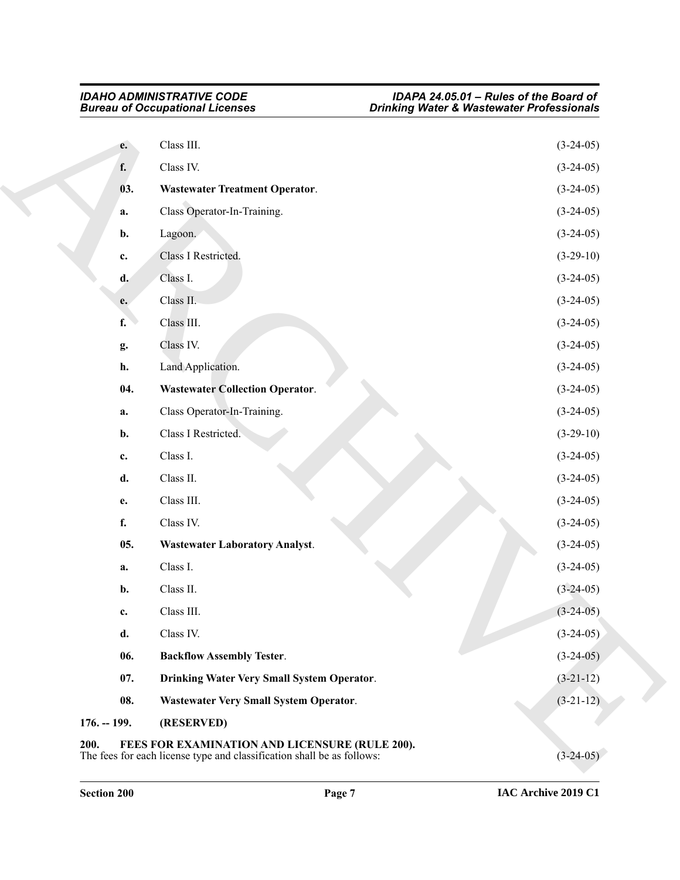<span id="page-6-8"></span><span id="page-6-7"></span><span id="page-6-6"></span><span id="page-6-5"></span><span id="page-6-4"></span><span id="page-6-3"></span><span id="page-6-2"></span><span id="page-6-1"></span><span id="page-6-0"></span>

|               | <b>Bureau of Occupational Licenses</b>         | <b>Drinking Water &amp; Wastewater Professionals</b> |
|---------------|------------------------------------------------|------------------------------------------------------|
| e.            | Class III.                                     | $(3-24-05)$                                          |
| f.            | Class IV.                                      | $(3-24-05)$                                          |
| 03.           | <b>Wastewater Treatment Operator.</b>          | $(3-24-05)$                                          |
| a.            | Class Operator-In-Training.                    | $(3-24-05)$                                          |
| b.            | Lagoon.                                        | $(3-24-05)$                                          |
| c.            | Class I Restricted.                            | $(3-29-10)$                                          |
| d.            | Class I.                                       | $(3-24-05)$                                          |
| e.            | Class II.                                      | $(3-24-05)$                                          |
| f.            | Class III.                                     | $(3-24-05)$                                          |
| g.            | Class IV.                                      | $(3-24-05)$                                          |
| h.            | Land Application.                              | $(3-24-05)$                                          |
| 04.           | <b>Wastewater Collection Operator.</b>         | $(3-24-05)$                                          |
| a.            | Class Operator-In-Training.                    | $(3-24-05)$                                          |
| b.            | Class I Restricted.                            | $(3-29-10)$                                          |
| c.            | Class I.                                       | $(3-24-05)$                                          |
| d.            | Class II.                                      | $(3-24-05)$                                          |
| e.            | Class III.                                     | $(3-24-05)$                                          |
| f.            | Class IV.                                      | $(3-24-05)$                                          |
| 05.           | <b>Wastewater Laboratory Analyst.</b>          | $(3-24-05)$                                          |
| a.            | Class I.                                       | $(3-24-05)$                                          |
| b.            | Class II.                                      | $(3-24-05)$                                          |
| c.            | Class III.                                     | $(3-24-05)$                                          |
| d.            | Class IV.                                      | $(3-24-05)$                                          |
| 06.           | <b>Backflow Assembly Tester.</b>               | $(3-24-05)$                                          |
| 07.           | Drinking Water Very Small System Operator.     | $(3-21-12)$                                          |
| 08.           | Wastewater Very Small System Operator.         | $(3-21-12)$                                          |
| $176. - 199.$ | (RESERVED)                                     |                                                      |
| 200.          | FEES FOR EXAMINATION AND LICENSURE (RULE 200). |                                                      |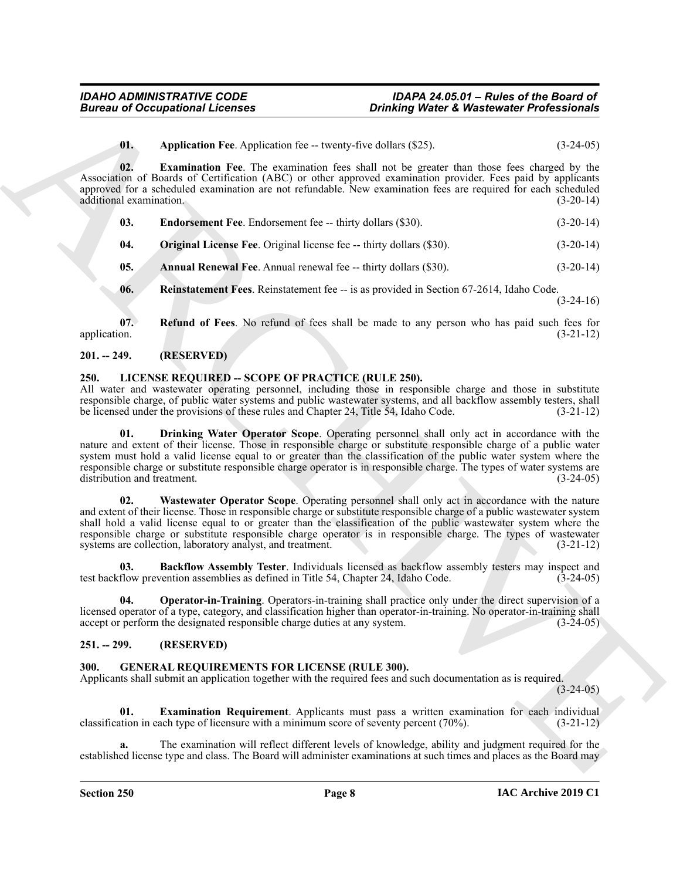<span id="page-7-7"></span><span id="page-7-5"></span>**01.** Application Fee. Application fee -- twenty-five dollars (\$25). (3-24-05)

**02. Examination Fee**. The examination fees shall not be greater than those fees charged by the Association of Boards of Certification (ABC) or other approved examination provider. Fees paid by applicants approved for a scheduled examination are not refundable. New examination fees are required for each scheduled additional examination. (3-20-14) additional examination.

<span id="page-7-6"></span>

| 03. | <b>Endorsement Fee.</b> Endorsement fee -- thirty dollars (\$30). | $(3-20-14)$ |
|-----|-------------------------------------------------------------------|-------------|
|-----|-------------------------------------------------------------------|-------------|

<span id="page-7-8"></span>**04.** Original License Fee. Original license fee -- thirty dollars (\$30). (3-20-14)

<span id="page-7-4"></span>**05. Annual Renewal Fee**. Annual renewal fee -- thirty dollars (\$30). (3-20-14)

<span id="page-7-10"></span><span id="page-7-9"></span>**06. Reinstatement Fees**. Reinstatement fee -- is as provided in Section 67-2614, Idaho Code.  $(3-24-16)$ 

**07. Refund of Fees**. No refund of fees shall be made to any person who has paid such fees for application. (3-21-12)

### <span id="page-7-0"></span>**201. -- 249. (RESERVED)**

### <span id="page-7-13"></span><span id="page-7-1"></span>**250. LICENSE REQUIRED -- SCOPE OF PRACTICE (RULE 250).**

<span id="page-7-15"></span>All water and wastewater operating personnel, including those in responsible charge and those in substitute responsible charge, of public water systems and public wastewater systems, and all backflow assembly testers, shall be licensed under the provisions of these rules and Chapter 24, Title 54, Idaho Code. (3-21-12)

**Bureau of Occupational Licenses**<br> **Contained the explicition of the contained properties of the system of the contained properties of the system of the system of the system of the system of the system of the system of th 01. Drinking Water Operator Scope**. Operating personnel shall only act in accordance with the nature and extent of their license. Those in responsible charge or substitute responsible charge of a public water system must hold a valid license equal to or greater than the classification of the public water system where the responsible charge or substitute responsible charge operator is in responsible charge. The types of water systems are distribution and treatment. (3-24-05)

<span id="page-7-17"></span>**02. Wastewater Operator Scope**. Operating personnel shall only act in accordance with the nature and extent of their license. Those in responsible charge or substitute responsible charge of a public wastewater system shall hold a valid license equal to or greater than the classification of the public wastewater system where the responsible charge or substitute responsible charge operator is in responsible charge. The types of wastewater systems are collection, laboratory analyst, and treatment. (3-21-12)

<span id="page-7-14"></span>**03. Backflow Assembly Tester**. Individuals licensed as backflow assembly testers may inspect and test backflow prevention assemblies as defined in Title 54, Chapter 24, Idaho Code. (3-24-05)

<span id="page-7-16"></span>**04. Operator-in-Training**. Operators-in-training shall practice only under the direct supervision of a licensed operator of a type, category, and classification higher than operator-in-training. No operator-in-training shall accept or perform the designated responsible charge duties at any system. (3-24-05)

# <span id="page-7-2"></span>**251. -- 299. (RESERVED)**

# <span id="page-7-11"></span><span id="page-7-3"></span>**300. GENERAL REQUIREMENTS FOR LICENSE (RULE 300).**

Applicants shall submit an application together with the required fees and such documentation as is required.

 $(3-24-05)$ 

<span id="page-7-12"></span>**01. Examination Requirement**. Applicants must pass a written examination for each individual ation in each type of licensure with a minimum score of seventy percent (70%). (3-21-12) classification in each type of licensure with a minimum score of seventy percent  $(70\%)$ .

**a.** The examination will reflect different levels of knowledge, ability and judgment required for the established license type and class. The Board will administer examinations at such times and places as the Board may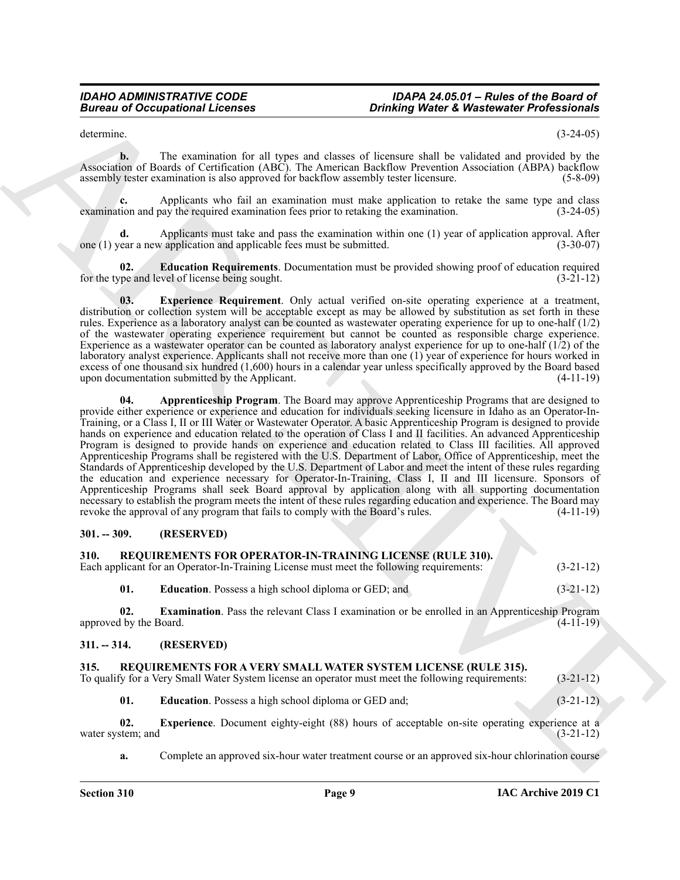#### <span id="page-8-12"></span><span id="page-8-11"></span><span id="page-8-10"></span><span id="page-8-9"></span><span id="page-8-8"></span><span id="page-8-7"></span><span id="page-8-4"></span><span id="page-8-3"></span><span id="page-8-2"></span><span id="page-8-1"></span><span id="page-8-0"></span>**301. -- 309. (RESERVED)**

<span id="page-8-6"></span><span id="page-8-5"></span>

|                               | <b>Bureau of Occupational Licenses</b>                                                                                                                                                                                                                                                                                                                                                                                                                                                                                                                                                                                                                                                                                                                                                                                                                                                                                                                                                                                                                                                                                                                                 | <b>Drinking Water &amp; Wastewater Professionals</b>                                                  |             |
|-------------------------------|------------------------------------------------------------------------------------------------------------------------------------------------------------------------------------------------------------------------------------------------------------------------------------------------------------------------------------------------------------------------------------------------------------------------------------------------------------------------------------------------------------------------------------------------------------------------------------------------------------------------------------------------------------------------------------------------------------------------------------------------------------------------------------------------------------------------------------------------------------------------------------------------------------------------------------------------------------------------------------------------------------------------------------------------------------------------------------------------------------------------------------------------------------------------|-------------------------------------------------------------------------------------------------------|-------------|
| determine.                    |                                                                                                                                                                                                                                                                                                                                                                                                                                                                                                                                                                                                                                                                                                                                                                                                                                                                                                                                                                                                                                                                                                                                                                        |                                                                                                       | $(3-24-05)$ |
| $\mathbf{b}$ .                | Association of Boards of Certification (ABC). The American Backflow Prevention Association (ABPA) backflow<br>assembly tester examination is also approved for backflow assembly tester licensure.                                                                                                                                                                                                                                                                                                                                                                                                                                                                                                                                                                                                                                                                                                                                                                                                                                                                                                                                                                     | The examination for all types and classes of licensure shall be validated and provided by the         | $(5-8-09)$  |
| c.                            | examination and pay the required examination fees prior to retaking the examination.                                                                                                                                                                                                                                                                                                                                                                                                                                                                                                                                                                                                                                                                                                                                                                                                                                                                                                                                                                                                                                                                                   | Applicants who fail an examination must make application to retake the same type and class            | $(3-24-05)$ |
| d.                            | one (1) year a new application and applicable fees must be submitted.                                                                                                                                                                                                                                                                                                                                                                                                                                                                                                                                                                                                                                                                                                                                                                                                                                                                                                                                                                                                                                                                                                  | Applicants must take and pass the examination within one (1) year of application approval. After      | $(3-30-07)$ |
| 02.                           | for the type and level of license being sought.                                                                                                                                                                                                                                                                                                                                                                                                                                                                                                                                                                                                                                                                                                                                                                                                                                                                                                                                                                                                                                                                                                                        | <b>Education Requirements.</b> Documentation must be provided showing proof of education required     | $(3-21-12)$ |
| 03.                           | distribution or collection system will be acceptable except as may be allowed by substitution as set forth in these<br>rules. Experience as a laboratory analyst can be counted as wastewater operating experience for up to one-half $(1/2)$<br>of the wastewater operating experience requirement but cannot be counted as responsible charge experience.<br>Experience as a wastewater operator can be counted as laboratory analyst experience for up to one-half $(1/2)$ of the<br>laboratory analyst experience. Applicants shall not receive more than one (1) year of experience for hours worked in<br>excess of one thousand six hundred $(1,600)$ hours in a calendar year unless specifically approved by the Board based<br>upon documentation submitted by the Applicant.                                                                                                                                                                                                                                                                                                                                                                                | <b>Experience Requirement</b> . Only actual verified on-site operating experience at a treatment,     | $(4-11-19)$ |
| 04.                           | provide either experience or experience and education for individuals seeking licensure in Idaho as an Operator-In-<br>Training, or a Class I, II or III Water or Wastewater Operator. A basic Apprenticeship Program is designed to provide<br>hands on experience and education related to the operation of Class I and II facilities. An advanced Apprenticeship<br>Program is designed to provide hands on experience and education related to Class III facilities. All approved<br>Apprenticeship Programs shall be registered with the U.S. Department of Labor, Office of Apprenticeship, meet the<br>Standards of Apprenticeship developed by the U.S. Department of Labor and meet the intent of these rules regarding<br>the education and experience necessary for Operator-In-Training, Class I, II and III licensure. Sponsors of<br>Apprenticeship Programs shall seek Board approval by application along with all supporting documentation<br>necessary to establish the program meets the intent of these rules regarding education and experience. The Board may<br>revoke the approval of any program that fails to comply with the Board's rules. | Apprenticeship Program. The Board may approve Apprenticeship Programs that are designed to            | $(4-11-19)$ |
| $301. - 309.$                 | (RESERVED)                                                                                                                                                                                                                                                                                                                                                                                                                                                                                                                                                                                                                                                                                                                                                                                                                                                                                                                                                                                                                                                                                                                                                             |                                                                                                       |             |
| 310.                          | <b>REQUIREMENTS FOR OPERATOR-IN-TRAINING LICENSE (RULE 310).</b><br>Each applicant for an Operator-In-Training License must meet the following requirements:                                                                                                                                                                                                                                                                                                                                                                                                                                                                                                                                                                                                                                                                                                                                                                                                                                                                                                                                                                                                           |                                                                                                       | $(3-21-12)$ |
| 01.                           | <b>Education</b> . Possess a high school diploma or GED; and                                                                                                                                                                                                                                                                                                                                                                                                                                                                                                                                                                                                                                                                                                                                                                                                                                                                                                                                                                                                                                                                                                           |                                                                                                       | $(3-21-12)$ |
| 02.<br>approved by the Board. |                                                                                                                                                                                                                                                                                                                                                                                                                                                                                                                                                                                                                                                                                                                                                                                                                                                                                                                                                                                                                                                                                                                                                                        | <b>Examination.</b> Pass the relevant Class I examination or be enrolled in an Apprenticeship Program | $(4-11-19)$ |
| $311. - 314.$                 | (RESERVED)                                                                                                                                                                                                                                                                                                                                                                                                                                                                                                                                                                                                                                                                                                                                                                                                                                                                                                                                                                                                                                                                                                                                                             |                                                                                                       |             |
| 315.                          | REQUIREMENTS FOR A VERY SMALL WATER SYSTEM LICENSE (RULE 315).<br>To qualify for a Very Small Water System license an operator must meet the following requirements:                                                                                                                                                                                                                                                                                                                                                                                                                                                                                                                                                                                                                                                                                                                                                                                                                                                                                                                                                                                                   |                                                                                                       | $(3-21-12)$ |
| 01.                           | Education. Possess a high school diploma or GED and;                                                                                                                                                                                                                                                                                                                                                                                                                                                                                                                                                                                                                                                                                                                                                                                                                                                                                                                                                                                                                                                                                                                   |                                                                                                       | $(3-21-12)$ |
| 02.                           |                                                                                                                                                                                                                                                                                                                                                                                                                                                                                                                                                                                                                                                                                                                                                                                                                                                                                                                                                                                                                                                                                                                                                                        | Experience. Document eighty-eight (88) hours of acceptable on-site operating experience at a          |             |
| water system; and             |                                                                                                                                                                                                                                                                                                                                                                                                                                                                                                                                                                                                                                                                                                                                                                                                                                                                                                                                                                                                                                                                                                                                                                        |                                                                                                       | $(3-21-12)$ |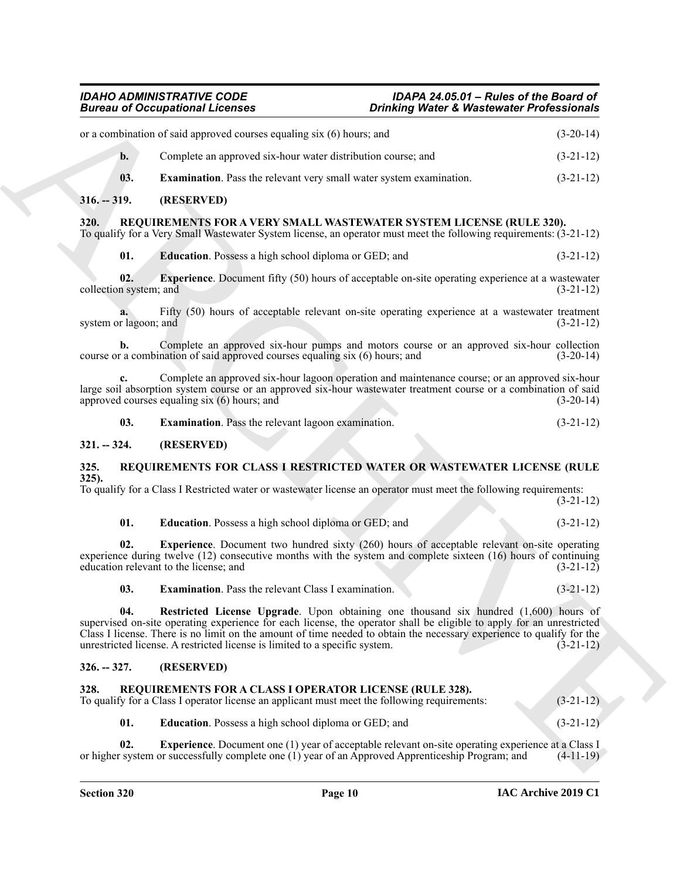<span id="page-9-18"></span><span id="page-9-17"></span><span id="page-9-16"></span><span id="page-9-15"></span><span id="page-9-14"></span><span id="page-9-13"></span><span id="page-9-12"></span><span id="page-9-11"></span><span id="page-9-10"></span><span id="page-9-9"></span><span id="page-9-8"></span><span id="page-9-7"></span><span id="page-9-6"></span><span id="page-9-5"></span><span id="page-9-4"></span><span id="page-9-3"></span><span id="page-9-2"></span><span id="page-9-1"></span><span id="page-9-0"></span>

|                               | <b>Bureau of Occupational Licenses</b>                                                                                                                                                                                                                                                                                                                                                                                | <b>Drinking Water &amp; Wastewater Professionals</b> |             |
|-------------------------------|-----------------------------------------------------------------------------------------------------------------------------------------------------------------------------------------------------------------------------------------------------------------------------------------------------------------------------------------------------------------------------------------------------------------------|------------------------------------------------------|-------------|
|                               | or a combination of said approved courses equaling six (6) hours; and                                                                                                                                                                                                                                                                                                                                                 |                                                      | $(3-20-14)$ |
| $b$ .                         | Complete an approved six-hour water distribution course; and                                                                                                                                                                                                                                                                                                                                                          |                                                      | $(3-21-12)$ |
| 03.                           | <b>Examination</b> . Pass the relevant very small water system examination.                                                                                                                                                                                                                                                                                                                                           |                                                      | $(3-21-12)$ |
| $316. - 319.$                 | (RESERVED)                                                                                                                                                                                                                                                                                                                                                                                                            |                                                      |             |
| 320.                          | REQUIREMENTS FOR A VERY SMALL WASTEWATER SYSTEM LICENSE (RULE 320).<br>To qualify for a Very Small Wastewater System license, an operator must meet the following requirements: (3-21-12)                                                                                                                                                                                                                             |                                                      |             |
| 01.                           | Education. Possess a high school diploma or GED; and                                                                                                                                                                                                                                                                                                                                                                  |                                                      | $(3-21-12)$ |
| 02.<br>collection system; and | <b>Experience.</b> Document fifty (50) hours of acceptable on-site operating experience at a wastewater                                                                                                                                                                                                                                                                                                               |                                                      | $(3-21-12)$ |
| system or lagoon; and         | Fifty (50) hours of acceptable relevant on-site operating experience at a wastewater treatment                                                                                                                                                                                                                                                                                                                        |                                                      | $(3-21-12)$ |
| $\mathbf{b}$ .                | Complete an approved six-hour pumps and motors course or an approved six-hour collection<br>course or a combination of said approved courses equaling six (6) hours; and                                                                                                                                                                                                                                              |                                                      | $(3-20-14)$ |
|                               | Complete an approved six-hour lagoon operation and maintenance course; or an approved six-hour<br>large soil absorption system course or an approved six-hour wastewater treatment course or a combination of said<br>approved courses equaling six (6) hours; and                                                                                                                                                    |                                                      | $(3-20-14)$ |
| 03.                           | Examination. Pass the relevant lagoon examination.                                                                                                                                                                                                                                                                                                                                                                    |                                                      | $(3-21-12)$ |
| $321. - 324.$                 | (RESERVED)                                                                                                                                                                                                                                                                                                                                                                                                            |                                                      |             |
| 325.                          | REQUIREMENTS FOR CLASS I RESTRICTED WATER OR WASTEWATER LICENSE (RULE                                                                                                                                                                                                                                                                                                                                                 |                                                      |             |
| $325$ ).                      | To qualify for a Class I Restricted water or wastewater license an operator must meet the following requirements:                                                                                                                                                                                                                                                                                                     |                                                      | $(3-21-12)$ |
| 01.                           | <b>Education.</b> Possess a high school diploma or GED; and                                                                                                                                                                                                                                                                                                                                                           |                                                      | $(3-21-12)$ |
| 02.                           | <b>Experience.</b> Document two hundred sixty (260) hours of acceptable relevant on-site operating<br>experience during twelve (12) consecutive months with the system and complete sixteen (16) hours of continuing<br>education relevant to the license; and                                                                                                                                                        |                                                      | $(3-21-12)$ |
| 03.                           | <b>Examination.</b> Pass the relevant Class I examination.                                                                                                                                                                                                                                                                                                                                                            |                                                      | $(3-21-12)$ |
| 04.                           | Restricted License Upgrade. Upon obtaining one thousand six hundred (1,600) hours of<br>supervised on-site operating experience for each license, the operator shall be eligible to apply for an unrestricted<br>Class I license. There is no limit on the amount of time needed to obtain the necessary experience to qualify for the<br>unrestricted license. A restricted license is limited to a specific system. |                                                      | $(3-21-12)$ |
| $326. - 327.$                 | (RESERVED)                                                                                                                                                                                                                                                                                                                                                                                                            |                                                      |             |
|                               | REQUIREMENTS FOR A CLASS I OPERATOR LICENSE (RULE 328).                                                                                                                                                                                                                                                                                                                                                               |                                                      | $(3-21-12)$ |
| 328.                          | To qualify for a Class I operator license an applicant must meet the following requirements:                                                                                                                                                                                                                                                                                                                          |                                                      |             |
| 01.                           | <b>Education</b> . Possess a high school diploma or GED; and                                                                                                                                                                                                                                                                                                                                                          |                                                      | $(3-21-12)$ |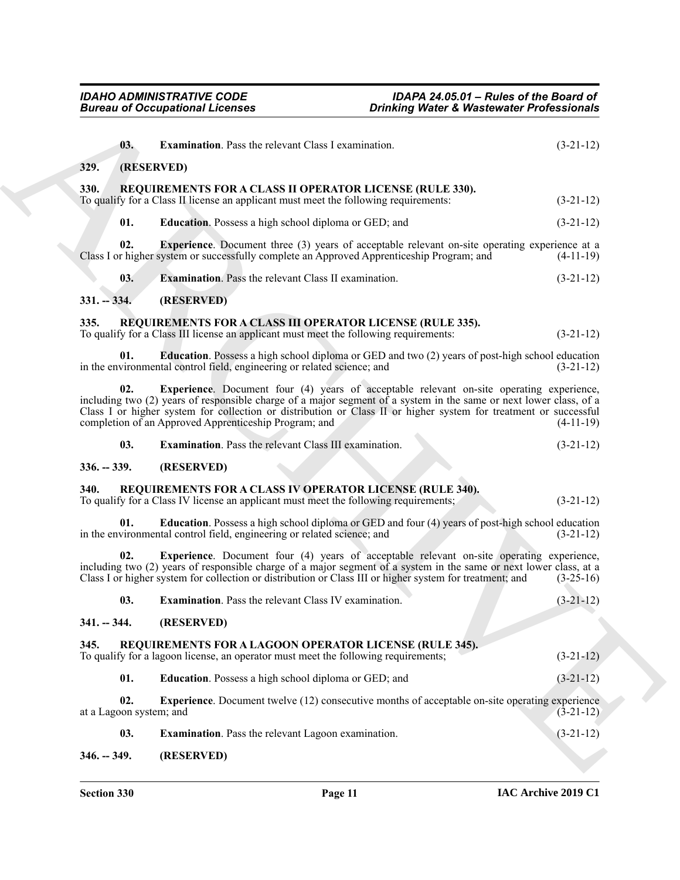<span id="page-10-25"></span><span id="page-10-24"></span><span id="page-10-23"></span><span id="page-10-22"></span><span id="page-10-21"></span><span id="page-10-20"></span><span id="page-10-19"></span><span id="page-10-18"></span><span id="page-10-17"></span><span id="page-10-16"></span><span id="page-10-15"></span><span id="page-10-14"></span><span id="page-10-13"></span><span id="page-10-12"></span><span id="page-10-11"></span><span id="page-10-10"></span><span id="page-10-9"></span><span id="page-10-8"></span><span id="page-10-7"></span><span id="page-10-6"></span><span id="page-10-5"></span><span id="page-10-4"></span><span id="page-10-3"></span><span id="page-10-2"></span><span id="page-10-1"></span><span id="page-10-0"></span>

|                                | <b>Bureau of Occupational Licenses</b>                                                                                                                                                                                                                                                                                                                                                             | <b>Drinking Water &amp; Wastewater Professionals</b> |             |
|--------------------------------|----------------------------------------------------------------------------------------------------------------------------------------------------------------------------------------------------------------------------------------------------------------------------------------------------------------------------------------------------------------------------------------------------|------------------------------------------------------|-------------|
| 03.                            | Examination. Pass the relevant Class I examination.                                                                                                                                                                                                                                                                                                                                                |                                                      | $(3-21-12)$ |
| 329.                           | (RESERVED)                                                                                                                                                                                                                                                                                                                                                                                         |                                                      |             |
| <b>330.</b>                    | <b>REQUIREMENTS FOR A CLASS II OPERATOR LICENSE (RULE 330).</b><br>To qualify for a Class II license an applicant must meet the following requirements:                                                                                                                                                                                                                                            |                                                      | $(3-21-12)$ |
| 01.                            | Education. Possess a high school diploma or GED; and                                                                                                                                                                                                                                                                                                                                               |                                                      | $(3-21-12)$ |
| 02.                            | <b>Experience.</b> Document three (3) years of acceptable relevant on-site operating experience at a<br>Class I or higher system or successfully complete an Approved Apprenticeship Program; and                                                                                                                                                                                                  |                                                      | $(4-11-19)$ |
| 03.                            | <b>Examination.</b> Pass the relevant Class II examination.                                                                                                                                                                                                                                                                                                                                        |                                                      | $(3-21-12)$ |
| $331. - 334.$                  | (RESERVED)                                                                                                                                                                                                                                                                                                                                                                                         |                                                      |             |
| 335.                           | REQUIREMENTS FOR A CLASS III OPERATOR LICENSE (RULE 335).<br>To qualify for a Class III license an applicant must meet the following requirements:                                                                                                                                                                                                                                                 |                                                      | $(3-21-12)$ |
| 01.                            | <b>Education</b> . Possess a high school diploma or GED and two (2) years of post-high school education<br>in the environmental control field, engineering or related science; and                                                                                                                                                                                                                 |                                                      | $(3-21-12)$ |
| 02.                            | <b>Experience.</b> Document four (4) years of acceptable relevant on-site operating experience,<br>including two (2) years of responsible charge of a major segment of a system in the same or next lower class, of a<br>Class I or higher system for collection or distribution or Class II or higher system for treatment or successful<br>completion of an Approved Apprenticeship Program; and |                                                      | $(4-11-19)$ |
| 03.                            | <b>Examination.</b> Pass the relevant Class III examination.                                                                                                                                                                                                                                                                                                                                       |                                                      | $(3-21-12)$ |
| $336. - 339.$                  | (RESERVED)                                                                                                                                                                                                                                                                                                                                                                                         |                                                      |             |
| 340.                           | REQUIREMENTS FOR A CLASS IV OPERATOR LICENSE (RULE 340).<br>To qualify for a Class IV license an applicant must meet the following requirements;                                                                                                                                                                                                                                                   |                                                      | $(3-21-12)$ |
| 01.                            | Education. Possess a high school diploma or GED and four (4) years of post-high school education<br>in the environmental control field, engineering or related science; and                                                                                                                                                                                                                        |                                                      | $(3-21-12)$ |
| 02.                            | <b>Experience.</b> Document four (4) years of acceptable relevant on-site operating experience,<br>including two (2) years of responsible charge of a major segment of a system in the same or next lower class, at a<br>Class I or higher system for collection or distribution or Class III or higher system for treatment; and                                                                  |                                                      | $(3-25-16)$ |
|                                | 03. Examination. Pass the relevant Class IV examination.                                                                                                                                                                                                                                                                                                                                           |                                                      | $(3-21-12)$ |
| $341. - 344.$                  | (RESERVED)                                                                                                                                                                                                                                                                                                                                                                                         |                                                      |             |
| 345.                           | REQUIREMENTS FOR A LAGOON OPERATOR LICENSE (RULE 345).<br>To qualify for a lagoon license, an operator must meet the following requirements;                                                                                                                                                                                                                                                       |                                                      | $(3-21-12)$ |
| 01.                            | Education. Possess a high school diploma or GED; and                                                                                                                                                                                                                                                                                                                                               |                                                      | $(3-21-12)$ |
| 02.<br>at a Lagoon system; and | <b>Experience.</b> Document twelve (12) consecutive months of acceptable on-site operating experience                                                                                                                                                                                                                                                                                              |                                                      | $(3-21-12)$ |
| 03.                            | Examination. Pass the relevant Lagoon examination.                                                                                                                                                                                                                                                                                                                                                 |                                                      | $(3-21-12)$ |
|                                |                                                                                                                                                                                                                                                                                                                                                                                                    |                                                      |             |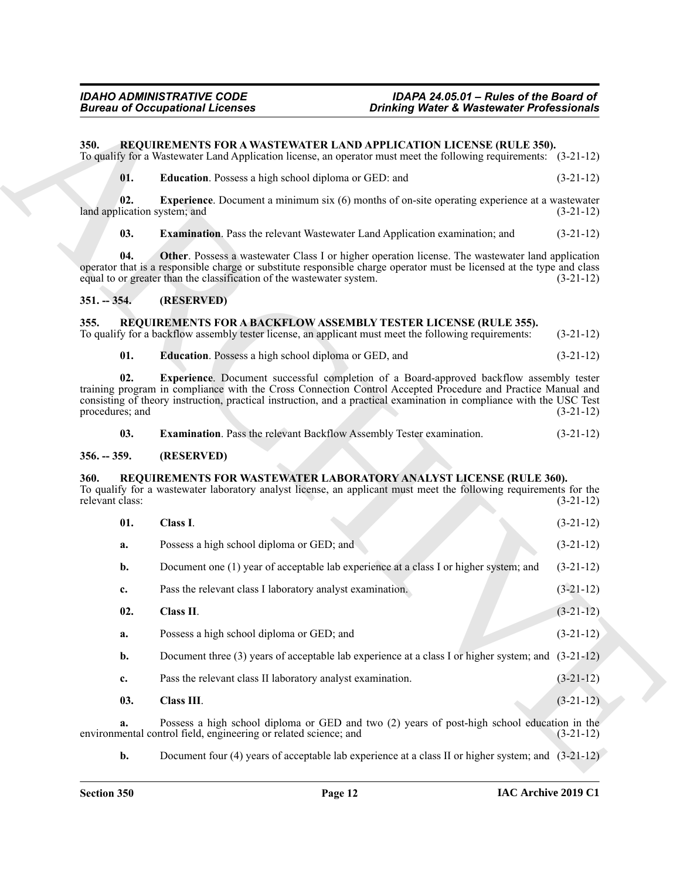### <span id="page-11-9"></span><span id="page-11-0"></span>**350. REQUIREMENTS FOR A WASTEWATER LAND APPLICATION LICENSE (RULE 350).**

<span id="page-11-13"></span><span id="page-11-12"></span><span id="page-11-11"></span><span id="page-11-10"></span>

|  | <b>Education.</b> Possess a high school diploma or GED: and | $(3-21-12)$ |
|--|-------------------------------------------------------------|-------------|
|--|-------------------------------------------------------------|-------------|

#### <span id="page-11-1"></span>**351. -- 354. (RESERVED)**

#### <span id="page-11-6"></span><span id="page-11-5"></span><span id="page-11-2"></span>**355. REQUIREMENTS FOR A BACKFLOW ASSEMBLY TESTER LICENSE (RULE 355).**

<span id="page-11-14"></span><span id="page-11-8"></span><span id="page-11-7"></span>

| 03. | <b>Examination.</b> Pass the relevant Backflow Assembly Tester examination. | $(3-21-12)$ |
|-----|-----------------------------------------------------------------------------|-------------|
|-----|-----------------------------------------------------------------------------|-------------|

#### <span id="page-11-3"></span>**356. -- 359. (RESERVED)**

#### <span id="page-11-17"></span><span id="page-11-16"></span><span id="page-11-15"></span><span id="page-11-4"></span>**360. REQUIREMENTS FOR WASTEWATER LABORATORY ANALYST LICENSE (RULE 360).**

|               |                        | <b>Bureau of Occupational Licenses</b><br><b>Drinking Water &amp; Wastewater Professionals</b>                                                                                                                                                                                                                                 |             |
|---------------|------------------------|--------------------------------------------------------------------------------------------------------------------------------------------------------------------------------------------------------------------------------------------------------------------------------------------------------------------------------|-------------|
| 350.          |                        | REQUIREMENTS FOR A WASTEWATER LAND APPLICATION LICENSE (RULE 350).<br>To qualify for a Wastewater Land Application license, an operator must meet the following requirements: (3-21-12)                                                                                                                                        |             |
|               | 01.                    | Education. Possess a high school diploma or GED: and                                                                                                                                                                                                                                                                           | $(3-21-12)$ |
|               | 02.                    | <b>Experience.</b> Document a minimum six (6) months of on-site operating experience at a wastewater<br>land application system; and                                                                                                                                                                                           | $(3-21-12)$ |
|               | 03.                    | <b>Examination.</b> Pass the relevant Wastewater Land Application examination; and                                                                                                                                                                                                                                             | $(3-21-12)$ |
|               | 04.                    | Other. Possess a wastewater Class I or higher operation license. The wastewater land application<br>operator that is a responsible charge or substitute responsible charge operator must be licensed at the type and class<br>equal to or greater than the classification of the wastewater system.                            | $(3-21-12)$ |
| $351. - 354.$ |                        | (RESERVED)                                                                                                                                                                                                                                                                                                                     |             |
| 355.          |                        | REQUIREMENTS FOR A BACKFLOW ASSEMBLY TESTER LICENSE (RULE 355).<br>To qualify for a backflow assembly tester license, an applicant must meet the following requirements:                                                                                                                                                       | $(3-21-12)$ |
|               | 01.                    | Education. Possess a high school diploma or GED, and                                                                                                                                                                                                                                                                           | $(3-21-12)$ |
|               | 02.<br>procedures; and | Experience. Document successful completion of a Board-approved backflow assembly tester<br>training program in compliance with the Cross Connection Control Accepted Procedure and Practice Manual and<br>consisting of theory instruction, practical instruction, and a practical examination in compliance with the USC Test | $(3-21-12)$ |
|               | 03.                    | <b>Examination.</b> Pass the relevant Backflow Assembly Tester examination.                                                                                                                                                                                                                                                    | $(3-21-12)$ |
| $356. - 359.$ |                        | (RESERVED)                                                                                                                                                                                                                                                                                                                     |             |
| <b>360.</b>   | relevant class:        | REQUIREMENTS FOR WASTEWATER LABORATORY ANALYST LICENSE (RULE 360).<br>To qualify for a wastewater laboratory analyst license, an applicant must meet the following requirements for the                                                                                                                                        | $(3-21-12)$ |
|               | 01.                    | Class I.                                                                                                                                                                                                                                                                                                                       | $(3-21-12)$ |
|               |                        |                                                                                                                                                                                                                                                                                                                                |             |
|               | a.                     | Possess a high school diploma or GED; and                                                                                                                                                                                                                                                                                      | $(3-21-12)$ |
|               | b.                     | Document one (1) year of acceptable lab experience at a class I or higher system; and                                                                                                                                                                                                                                          | $(3-21-12)$ |
|               | c.                     | Pass the relevant class I laboratory analyst examination.                                                                                                                                                                                                                                                                      | $(3-21-12)$ |
|               | 02.                    | Class II.                                                                                                                                                                                                                                                                                                                      | $(3-21-12)$ |
|               | a.                     | Possess a high school diploma or GED; and                                                                                                                                                                                                                                                                                      | $(3-21-12)$ |
|               | b.                     | Document three (3) years of acceptable lab experience at a class I or higher system; and $(3-21-12)$                                                                                                                                                                                                                           |             |
|               | c.                     | Pass the relevant class II laboratory analyst examination.                                                                                                                                                                                                                                                                     | $(3-21-12)$ |
|               | 03.                    | Class III.                                                                                                                                                                                                                                                                                                                     | $(3-21-12)$ |
|               | a.                     | Possess a high school diploma or GED and two (2) years of post-high school education in the<br>environmental control field, engineering or related science; and                                                                                                                                                                | $(3-21-12)$ |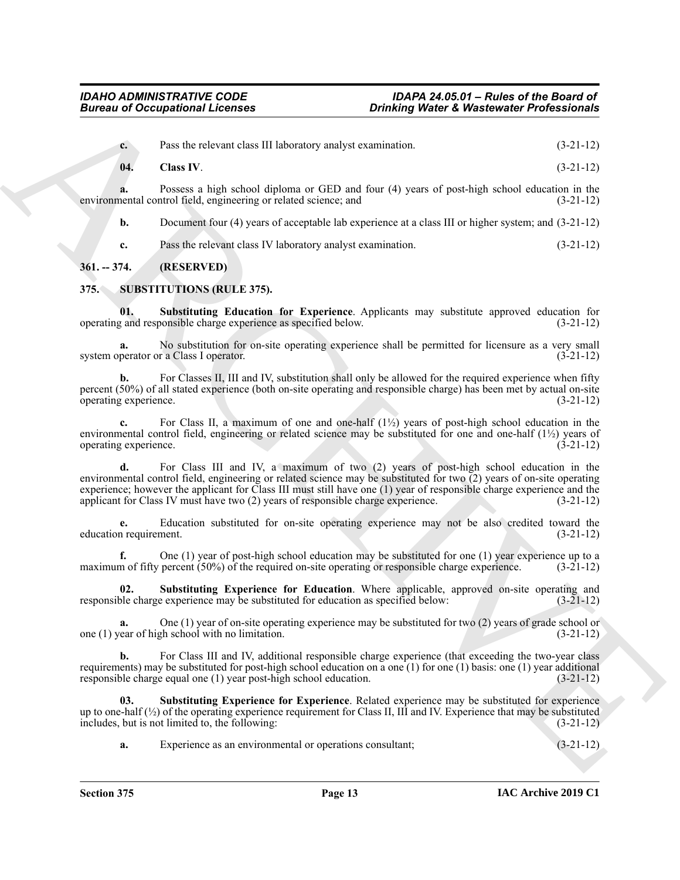<span id="page-12-2"></span>**c.** Pass the relevant class III laboratory analyst examination. (3-21-12)

**a.** Possess a high school diploma or GED and four (4) years of post-high school education in the nental control field, engineering or related science; and (3-21-12) environmental control field, engineering or related science; and

**b.** Document four (4) years of acceptable lab experience at a class III or higher system; and (3-21-12)

<span id="page-12-4"></span><span id="page-12-3"></span>**c.** Pass the relevant class IV laboratory analyst examination. (3-21-12)

# <span id="page-12-0"></span>**361. -- 374. (RESERVED)**

# <span id="page-12-1"></span>**375. SUBSTITUTIONS (RULE 375).**

**01. Substituting Education for Experience**. Applicants may substitute approved education for operating and responsible charge experience as specified below. (3-21-12)

**a.** No substitution for on-site operating experience shall be permitted for licensure as a very small system operator or a Class I operator. (3-21-12)

For Classes II, III and IV, substitution shall only be allowed for the required experience when fifty percent (50%) of all stated experience (both on-site operating and responsible charge) has been met by actual on-site operating experience. (3-21-12)

**c.** For Class II, a maximum of one and one-half (1½) years of post-high school education in the environmental control field, engineering or related science may be substituted for one and one-half  $(1\frac{1}{2})$  years of operating experience. (3-21-12) operating experience.

**Bureau of Occupational Licenses**<br>
Contributed by Bureau of the China RC and Contributed by the state of the China RC (2011)<br>
Contributed by the China RC (1) and Contributed by the China China RC (2012)<br>
Contributed by th **d.** For Class III and IV, a maximum of two (2) years of post-high school education in the environmental control field, engineering or related science may be substituted for two  $\overline{2}$ ) years of on-site operating experience; however the applicant for Class III must still have one (1) year of responsible charge experience and the applicant for Class IV must have two (2) years of responsible charge experience. (3-21-12)

**e.** Education substituted for on-site operating experience may not be also credited toward the education requirement.

One (1) year of post-high school education may be substituted for one (1) year experience up to a percent  $(50\%)$  of the required on-site operating or responsible charge experience.  $(3-21-12)$ maximum of fifty percent  $(50%)$  of the required on-site operating or responsible charge experience.

<span id="page-12-5"></span>**02. Substituting Experience for Education**. Where applicable, approved on-site operating and responsible charge experience may be substituted for education as specified below: (3-21-12)

**a.** One (1) year of on-site operating experience may be substituted for two (2) years of grade school or ear of high school with no limitation. (3-21-12) one  $(1)$  year of high school with no limitation.

**b.** For Class III and IV, additional responsible charge experience (that exceeding the two-year class requirements) may be substituted for post-high school education on a one (1) for one (1) basis: one (1) year additional responsible charge equal one (1) year post-high school education.  $(3-21-12)$ responsible charge equal one  $(1)$  year post-high school education.

**03. Substituting Experience for Experience**. Related experience may be substituted for experience up to one-half  $\left(\frac{1}{2}\right)$  of the operating experience requirement for Class II, III and IV. Experience that may be substituted includes, but is not limited to, the following: (3-21-12)

<span id="page-12-6"></span>**a.** Experience as an environmental or operations consultant; (3-21-12)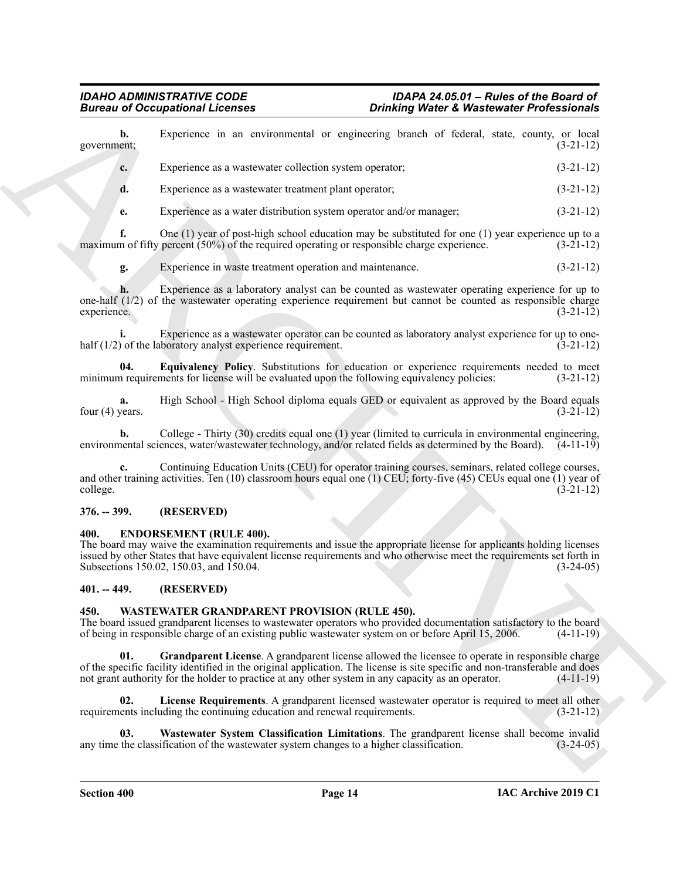| Experience in an environmental or engineering branch of federal, state, county, or local<br>b.<br>government;<br>Experience as a wastewater collection system operator;<br>c.<br>d.<br>Experience as a wastewater treatment plant operator;<br>Experience as a water distribution system operator and/or manager;<br>e.<br>f.<br>One $(1)$ year of post-high school education may be substituted for one $(1)$ year experience up to a<br>maximum of fifty percent (50%) of the required operating or responsible charge experience.<br>Experience in waste treatment operation and maintenance.<br>g.<br>Experience as a laboratory analyst can be counted as wastewater operating experience for up to<br>h.<br>one-half (1/2) of the wastewater operating experience requirement but cannot be counted as responsible charge<br>experience.<br>Experience as a wastewater operator can be counted as laboratory analyst experience for up to one-<br>half $(1/2)$ of the laboratory analyst experience requirement.<br>Equivalency Policy. Substitutions for education or experience requirements needed to meet<br>04.<br>minimum requirements for license will be evaluated upon the following equivalency policies:<br>High School - High School diploma equals GED or equivalent as approved by the Board equals<br>a.<br>four $(4)$ years.<br>College - Thirty (30) credits equal one (1) year (limited to curricula in environmental engineering,<br>b. | $(3-21-12)$                                                                                                          |
|------------------------------------------------------------------------------------------------------------------------------------------------------------------------------------------------------------------------------------------------------------------------------------------------------------------------------------------------------------------------------------------------------------------------------------------------------------------------------------------------------------------------------------------------------------------------------------------------------------------------------------------------------------------------------------------------------------------------------------------------------------------------------------------------------------------------------------------------------------------------------------------------------------------------------------------------------------------------------------------------------------------------------------------------------------------------------------------------------------------------------------------------------------------------------------------------------------------------------------------------------------------------------------------------------------------------------------------------------------------------------------------------------------------------------------------------------------------|----------------------------------------------------------------------------------------------------------------------|
|                                                                                                                                                                                                                                                                                                                                                                                                                                                                                                                                                                                                                                                                                                                                                                                                                                                                                                                                                                                                                                                                                                                                                                                                                                                                                                                                                                                                                                                                  | $(3-21-12)$<br>$(3-21-12)$<br>$(3-21-12)$<br>$(3-21-12)$<br>$(3-21-12)$<br>$(3-21-12)$<br>$(3-21-12)$<br>$(3-21-12)$ |
|                                                                                                                                                                                                                                                                                                                                                                                                                                                                                                                                                                                                                                                                                                                                                                                                                                                                                                                                                                                                                                                                                                                                                                                                                                                                                                                                                                                                                                                                  |                                                                                                                      |
|                                                                                                                                                                                                                                                                                                                                                                                                                                                                                                                                                                                                                                                                                                                                                                                                                                                                                                                                                                                                                                                                                                                                                                                                                                                                                                                                                                                                                                                                  |                                                                                                                      |
|                                                                                                                                                                                                                                                                                                                                                                                                                                                                                                                                                                                                                                                                                                                                                                                                                                                                                                                                                                                                                                                                                                                                                                                                                                                                                                                                                                                                                                                                  |                                                                                                                      |
|                                                                                                                                                                                                                                                                                                                                                                                                                                                                                                                                                                                                                                                                                                                                                                                                                                                                                                                                                                                                                                                                                                                                                                                                                                                                                                                                                                                                                                                                  |                                                                                                                      |
|                                                                                                                                                                                                                                                                                                                                                                                                                                                                                                                                                                                                                                                                                                                                                                                                                                                                                                                                                                                                                                                                                                                                                                                                                                                                                                                                                                                                                                                                  |                                                                                                                      |
|                                                                                                                                                                                                                                                                                                                                                                                                                                                                                                                                                                                                                                                                                                                                                                                                                                                                                                                                                                                                                                                                                                                                                                                                                                                                                                                                                                                                                                                                  |                                                                                                                      |
|                                                                                                                                                                                                                                                                                                                                                                                                                                                                                                                                                                                                                                                                                                                                                                                                                                                                                                                                                                                                                                                                                                                                                                                                                                                                                                                                                                                                                                                                  |                                                                                                                      |
|                                                                                                                                                                                                                                                                                                                                                                                                                                                                                                                                                                                                                                                                                                                                                                                                                                                                                                                                                                                                                                                                                                                                                                                                                                                                                                                                                                                                                                                                  |                                                                                                                      |
|                                                                                                                                                                                                                                                                                                                                                                                                                                                                                                                                                                                                                                                                                                                                                                                                                                                                                                                                                                                                                                                                                                                                                                                                                                                                                                                                                                                                                                                                  | $(3-21-12)$                                                                                                          |
| environmental sciences, water/wastewater technology, and/or related fields as determined by the Board). $(4-11-19)$                                                                                                                                                                                                                                                                                                                                                                                                                                                                                                                                                                                                                                                                                                                                                                                                                                                                                                                                                                                                                                                                                                                                                                                                                                                                                                                                              |                                                                                                                      |
| Continuing Education Units (CEU) for operator training courses, seminars, related college courses,<br>and other training activities. Ten $(10)$ classroom hours equal one $(1)$ CEU; forty-five $(45)$ CEUs equal one $(1)$ year of<br>college.                                                                                                                                                                                                                                                                                                                                                                                                                                                                                                                                                                                                                                                                                                                                                                                                                                                                                                                                                                                                                                                                                                                                                                                                                  | $(3-21-12)$                                                                                                          |
| (RESERVED)<br>$376. - 399.$                                                                                                                                                                                                                                                                                                                                                                                                                                                                                                                                                                                                                                                                                                                                                                                                                                                                                                                                                                                                                                                                                                                                                                                                                                                                                                                                                                                                                                      |                                                                                                                      |
| <b>ENDORSEMENT (RULE 400).</b><br>400.<br>The board may waive the examination requirements and issue the appropriate license for applicants holding licenses<br>issued by other States that have equivalent license requirements and who otherwise meet the requirements set forth in<br>Subsections 150.02, 150.03, and 150.04.                                                                                                                                                                                                                                                                                                                                                                                                                                                                                                                                                                                                                                                                                                                                                                                                                                                                                                                                                                                                                                                                                                                                 | $(3-24-05)$                                                                                                          |
| (RESERVED)<br>$401. - 449.$                                                                                                                                                                                                                                                                                                                                                                                                                                                                                                                                                                                                                                                                                                                                                                                                                                                                                                                                                                                                                                                                                                                                                                                                                                                                                                                                                                                                                                      |                                                                                                                      |
| WASTEWATER GRANDPARENT PROVISION (RULE 450).<br>450.<br>The board issued grandparent licenses to wastewater operators who provided documentation satisfactory to the board<br>of being in responsible charge of an existing public was tewater system on or before April 15, 2006.                                                                                                                                                                                                                                                                                                                                                                                                                                                                                                                                                                                                                                                                                                                                                                                                                                                                                                                                                                                                                                                                                                                                                                               | $(4-11-19)$                                                                                                          |
| Grandparent License. A grandparent license allowed the licensee to operate in responsible charge<br>01.<br>of the specific facility identified in the original application. The license is site specific and non-transferable and does<br>not grant authority for the holder to practice at any other system in any capacity as an operator.                                                                                                                                                                                                                                                                                                                                                                                                                                                                                                                                                                                                                                                                                                                                                                                                                                                                                                                                                                                                                                                                                                                     | $(4-11-19)$                                                                                                          |
| 02.<br>License Requirements. A grandparent licensed wastewater operator is required to meet all other<br>requirements including the continuing education and renewal requirements.                                                                                                                                                                                                                                                                                                                                                                                                                                                                                                                                                                                                                                                                                                                                                                                                                                                                                                                                                                                                                                                                                                                                                                                                                                                                               | $(3-21-12)$                                                                                                          |
| Wastewater System Classification Limitations. The grandparent license shall become invalid<br>03.<br>any time the classification of the wastewater system changes to a higher classification.                                                                                                                                                                                                                                                                                                                                                                                                                                                                                                                                                                                                                                                                                                                                                                                                                                                                                                                                                                                                                                                                                                                                                                                                                                                                    | $(3-24-05)$                                                                                                          |

#### <span id="page-13-5"></span><span id="page-13-0"></span>**376. -- 399. (RESERVED)**

#### <span id="page-13-4"></span><span id="page-13-1"></span>**400. ENDORSEMENT (RULE 400).**

#### <span id="page-13-2"></span>**401. -- 449. (RESERVED)**

# <span id="page-13-9"></span><span id="page-13-8"></span><span id="page-13-7"></span><span id="page-13-6"></span><span id="page-13-3"></span>**450. WASTEWATER GRANDPARENT PROVISION (RULE 450).**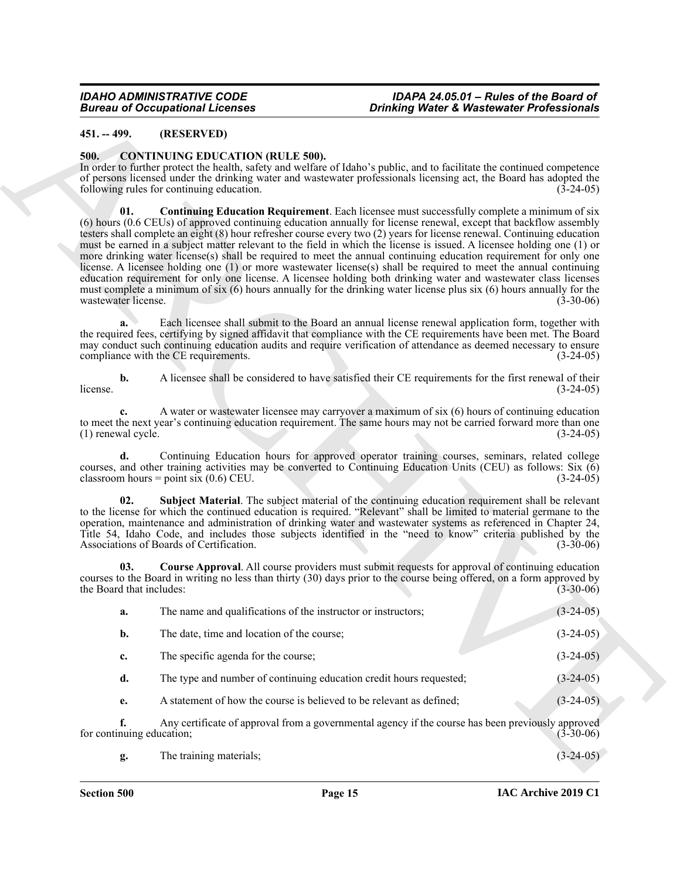# <span id="page-14-0"></span>**451. -- 499. (RESERVED)**

#### <span id="page-14-3"></span><span id="page-14-2"></span><span id="page-14-1"></span>**500. CONTINUING EDUCATION (RULE 500).**

| <b>Bureau of Occupational Licenses</b> | <b>Drinking Water &amp; Wastewater Professionals</b>                                 |                                                                                                                                                                                                                                                                                                                                                                                                                                                                                                                                                                                                                                                                                                                                                                                                                                                                                                                                                                     |             |
|----------------------------------------|--------------------------------------------------------------------------------------|---------------------------------------------------------------------------------------------------------------------------------------------------------------------------------------------------------------------------------------------------------------------------------------------------------------------------------------------------------------------------------------------------------------------------------------------------------------------------------------------------------------------------------------------------------------------------------------------------------------------------------------------------------------------------------------------------------------------------------------------------------------------------------------------------------------------------------------------------------------------------------------------------------------------------------------------------------------------|-------------|
| $451. - 499.$                          | (RESERVED)                                                                           |                                                                                                                                                                                                                                                                                                                                                                                                                                                                                                                                                                                                                                                                                                                                                                                                                                                                                                                                                                     |             |
| 500.                                   | <b>CONTINUING EDUCATION (RULE 500).</b><br>following rules for continuing education. | In order to further protect the health, safety and welfare of Idaho's public, and to facilitate the continued competence<br>of persons licensed under the drinking water and wastewater professionals licensing act, the Board has adopted the                                                                                                                                                                                                                                                                                                                                                                                                                                                                                                                                                                                                                                                                                                                      | $(3-24-05)$ |
| 01.<br>wastewater license.             |                                                                                      | <b>Continuing Education Requirement</b> . Each licensee must successfully complete a minimum of six<br>(6) hours (0.6 CEUs) of approved continuing education annually for license renewal, except that backflow assembly<br>testers shall complete an eight (8) hour refresher course every two (2) years for license renewal. Continuing education<br>must be earned in a subject matter relevant to the field in which the license is issued. A licensee holding one (1) or<br>more drinking water license(s) shall be required to meet the annual continuing education requirement for only one<br>license. A licensee holding one (1) or more wastewater license(s) shall be required to meet the annual continuing<br>education requirement for only one license. A licensee holding both drinking water and wastewater class licenses<br>must complete a minimum of six (6) hours annually for the drinking water license plus six (6) hours annually for the | $(3-30-06)$ |
| a.                                     | compliance with the CE requirements.                                                 | Each licensee shall submit to the Board an annual license renewal application form, together with<br>the required fees, certifying by signed affidavit that compliance with the CE requirements have been met. The Board<br>may conduct such continuing education audits and require verification of attendance as deemed necessary to ensure                                                                                                                                                                                                                                                                                                                                                                                                                                                                                                                                                                                                                       | $(3-24-05)$ |
| $\mathbf{b}$ .<br>license.             |                                                                                      | A licensee shall be considered to have satisfied their CE requirements for the first renewal of their                                                                                                                                                                                                                                                                                                                                                                                                                                                                                                                                                                                                                                                                                                                                                                                                                                                               | $(3-24-05)$ |
| $c_{\cdot}$<br>(1) renewal cycle.      |                                                                                      | A water or wastewater licensee may carryover a maximum of six (6) hours of continuing education<br>to meet the next year's continuing education requirement. The same hours may not be carried forward more than one                                                                                                                                                                                                                                                                                                                                                                                                                                                                                                                                                                                                                                                                                                                                                | $(3-24-05)$ |
| d.                                     | classroom hours = point six $(0.6)$ CEU.                                             | Continuing Education hours for approved operator training courses, seminars, related college<br>courses, and other training activities may be converted to Continuing Education Units (CEU) as follows: Six (6)                                                                                                                                                                                                                                                                                                                                                                                                                                                                                                                                                                                                                                                                                                                                                     | $(3-24-05)$ |
| 02.                                    | Associations of Boards of Certification.                                             | Subject Material. The subject material of the continuing education requirement shall be relevant<br>to the license for which the continued education is required. "Relevant" shall be limited to material germane to the<br>operation, maintenance and administration of drinking water and wastewater systems as referenced in Chapter 24,<br>Title 54, Idaho Code, and includes those subjects identified in the "need to know" criteria published by the                                                                                                                                                                                                                                                                                                                                                                                                                                                                                                         | $(3-30-06)$ |
| 03.<br>the Board that includes:        |                                                                                      | <b>Course Approval.</b> All course providers must submit requests for approval of continuing education<br>courses to the Board in writing no less than thirty (30) days prior to the course being offered, on a form approved by                                                                                                                                                                                                                                                                                                                                                                                                                                                                                                                                                                                                                                                                                                                                    | $(3-30-06)$ |
| a.                                     | The name and qualifications of the instructor or instructors;                        |                                                                                                                                                                                                                                                                                                                                                                                                                                                                                                                                                                                                                                                                                                                                                                                                                                                                                                                                                                     | $(3-24-05)$ |
| b.                                     | The date, time and location of the course;                                           |                                                                                                                                                                                                                                                                                                                                                                                                                                                                                                                                                                                                                                                                                                                                                                                                                                                                                                                                                                     | $(3-24-05)$ |
| c.                                     | The specific agenda for the course;                                                  |                                                                                                                                                                                                                                                                                                                                                                                                                                                                                                                                                                                                                                                                                                                                                                                                                                                                                                                                                                     | $(3-24-05)$ |
| d.                                     | The type and number of continuing education credit hours requested;                  |                                                                                                                                                                                                                                                                                                                                                                                                                                                                                                                                                                                                                                                                                                                                                                                                                                                                                                                                                                     | $(3-24-05)$ |
| e.                                     | A statement of how the course is believed to be relevant as defined;                 |                                                                                                                                                                                                                                                                                                                                                                                                                                                                                                                                                                                                                                                                                                                                                                                                                                                                                                                                                                     | $(3-24-05)$ |
| f.<br>for continuing education;        |                                                                                      | Any certificate of approval from a governmental agency if the course has been previously approved                                                                                                                                                                                                                                                                                                                                                                                                                                                                                                                                                                                                                                                                                                                                                                                                                                                                   | $(3-30-06)$ |
| g.                                     | The training materials;                                                              |                                                                                                                                                                                                                                                                                                                                                                                                                                                                                                                                                                                                                                                                                                                                                                                                                                                                                                                                                                     | $(3-24-05)$ |

<span id="page-14-5"></span><span id="page-14-4"></span>

|  | The training materials: |  | $(3-24-05)$ |  |  |
|--|-------------------------|--|-------------|--|--|
|--|-------------------------|--|-------------|--|--|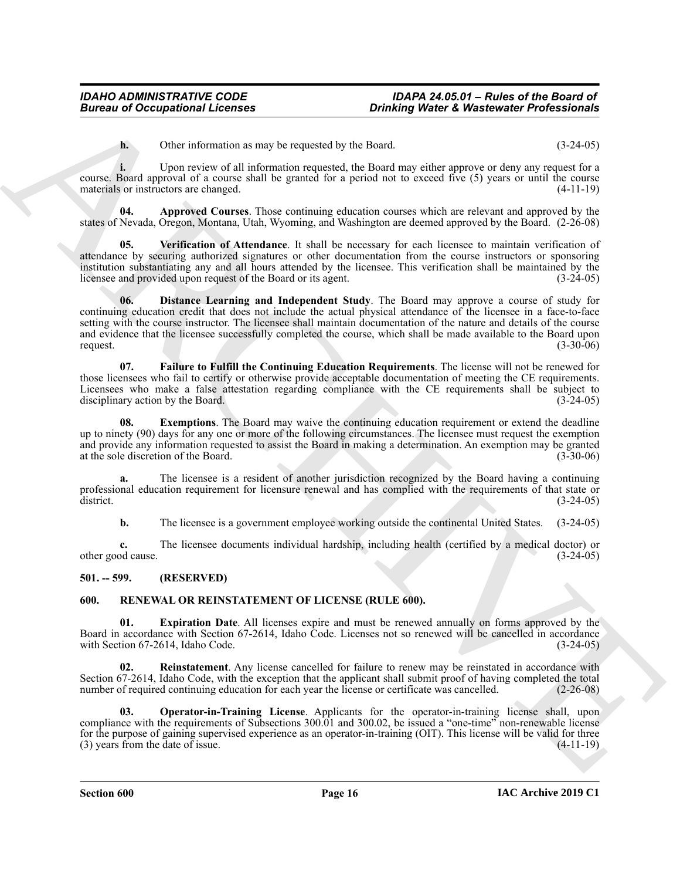<span id="page-15-2"></span>**h.** Other information as may be requested by the Board. (3-24-05)

**i.** Upon review of all information requested, the Board may either approve or deny any request for a course. Board approval of a course shall be granted for a period not to exceed five (5) years or until the course materials or instructors are changed. (4-11-19)

**04. Approved Courses**. Those continuing education courses which are relevant and approved by the states of Nevada, Oregon, Montana, Utah, Wyoming, and Washington are deemed approved by the Board. (2-26-08)

<span id="page-15-6"></span><span id="page-15-3"></span>**05. Verification of Attendance**. It shall be necessary for each licensee to maintain verification of attendance by securing authorized signatures or other documentation from the course instructors or sponsoring institution substantiating any and all hours attended by the licensee. This verification shall be maintained by the licensee and provided upon request of the Board or its agent. (3-24-05)

**British of Occupations I.Leonics** and the transported by the boxel<br> **Contributions of the control of the control of the state of the state of the state of the state of the state of the state of the state of the state of 06. Distance Learning and Independent Study**. The Board may approve a course of study for continuing education credit that does not include the actual physical attendance of the licensee in a face-to-face setting with the course instructor. The licensee shall maintain documentation of the nature and details of the course and evidence that the licensee successfully completed the course, which shall be made available to the Board upon request.  $(3-30-06)$ 

<span id="page-15-5"></span>**07. Failure to Fulfill the Continuing Education Requirements**. The license will not be renewed for those licensees who fail to certify or otherwise provide acceptable documentation of meeting the CE requirements. Licensees who make a false attestation regarding compliance with the CE requirements shall be subject to disciplinary action by the Board. (3-24-05)

<span id="page-15-4"></span>**08. Exemptions**. The Board may waive the continuing education requirement or extend the deadline up to ninety (90) days for any one or more of the following circumstances. The licensee must request the exemption and provide any information requested to assist the Board in making a determination. An exemption may be granted at the sole discretion of the Board. (3-30-06)

**a.** The licensee is a resident of another jurisdiction recognized by the Board having a continuing professional education requirement for licensure renewal and has complied with the requirements of that state or district. (3-24-05) district. (3-24-05)

**b.** The licensee is a government employee working outside the continental United States.  $(3-24-05)$ 

**c.** The licensee documents individual hardship, including health (certified by a medical doctor) or other good cause. (3-24-05)

# <span id="page-15-0"></span>**501. -- 599. (RESERVED)**

# <span id="page-15-7"></span><span id="page-15-1"></span>**600. RENEWAL OR REINSTATEMENT OF LICENSE (RULE 600).**

<span id="page-15-8"></span>**01. Expiration Date**. All licenses expire and must be renewed annually on forms approved by the Board in accordance with Section 67-2614, Idaho Code. Licenses not so renewed will be cancelled in accordance with Section 67-2614, Idaho Code. (3-24-05)

<span id="page-15-10"></span>**02. Reinstatement**. Any license cancelled for failure to renew may be reinstated in accordance with Section 67-2614, Idaho Code, with the exception that the applicant shall submit proof of having completed the total number of required continuing education for each year the license or certificate was cancelled. (2-26-08)

<span id="page-15-9"></span>**03. Operator-in-Training License**. Applicants for the operator-in-training license shall, upon compliance with the requirements of Subsections 300.01 and 300.02, be issued a "one-time" non-renewable license for the purpose of gaining supervised experience as an operator-in-training (OIT). This license will be valid for three (3) years from the date of issue.  $(3)$  years from the date of issue.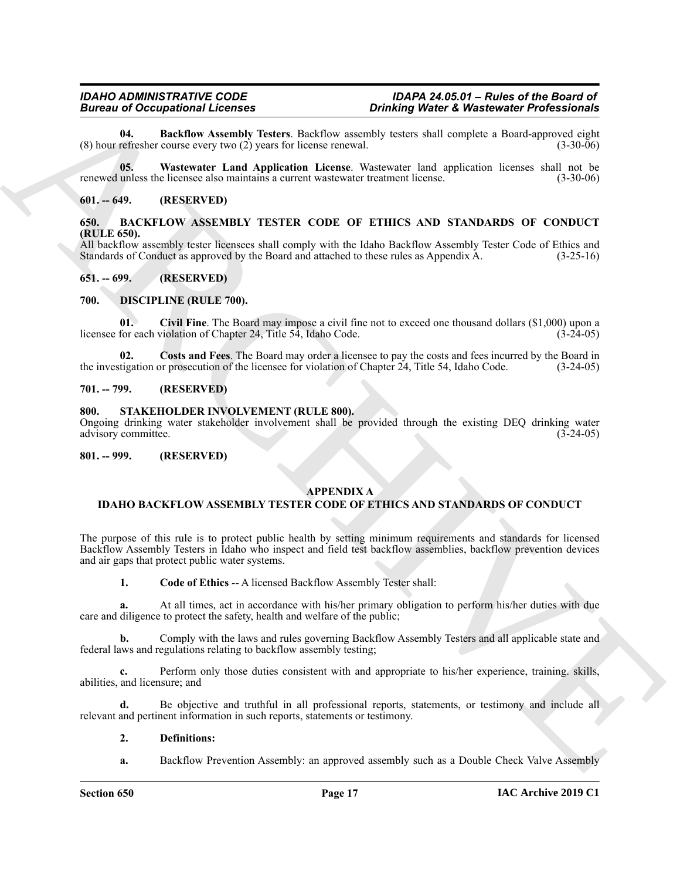<span id="page-16-12"></span>**04. Backflow Assembly Testers**. Backflow assembly testers shall complete a Board-approved eight (8) hour refresher course every two  $(2)$  years for license renewal.

<span id="page-16-13"></span>**05. Wastewater Land Application License**. Wastewater land application licenses shall not be renewed unless the licensee also maintains a current wastewater treatment license. (3-30-06) (3-30-06)

#### <span id="page-16-0"></span>**601. -- 649. (RESERVED)**

# <span id="page-16-8"></span><span id="page-16-1"></span>**650. BACKFLOW ASSEMBLY TESTER CODE OF ETHICS AND STANDARDS OF CONDUCT (RULE 650).**

All backflow assembly tester licensees shall comply with the Idaho Backflow Assembly Tester Code of Ethics and Standards of Conduct as approved by the Board and attached to these rules as Appendix A. (3-25-16)

### <span id="page-16-2"></span>**651. -- 699. (RESERVED)**

### <span id="page-16-9"></span><span id="page-16-3"></span>**700. DISCIPLINE (RULE 700).**

<span id="page-16-10"></span>**01. Civil Fine**. The Board may impose a civil fine not to exceed one thousand dollars (\$1,000) upon a licensee for each violation of Chapter 24, Title 54, Idaho Code. (3-24-05)

<span id="page-16-11"></span>**02.** Costs and Fees. The Board may order a licensee to pay the costs and fees incurred by the Board in tigation or prosecution of the licensee for violation of Chapter 24, Title 54, Idaho Code. (3-24-05) the investigation or prosecution of the licensee for violation of Chapter  $24$ , Title 54, Idaho Code.

### <span id="page-16-4"></span>**701. -- 799. (RESERVED)**

### <span id="page-16-14"></span><span id="page-16-5"></span>**800. STAKEHOLDER INVOLVEMENT (RULE 800).**

Ongoing drinking water stakeholder involvement shall be provided through the existing DEQ drinking water advisory committee. (3-24-05)

#### <span id="page-16-6"></span>**801. -- 999. (RESERVED)**

# <span id="page-16-7"></span>**APPENDIX A**

# **IDAHO BACKFLOW ASSEMBLY TESTER CODE OF ETHICS AND STANDARDS OF CONDUCT**

Bureau of Occupation at the same of the same of the same of the same of the same of the same of the same of the same of the same of the same of the same of the same of the same of the same of the same of the same of the s The purpose of this rule is to protect public health by setting minimum requirements and standards for licensed Backflow Assembly Testers in Idaho who inspect and field test backflow assemblies, backflow prevention devices and air gaps that protect public water systems.

**1. Code of Ethics** -- A licensed Backflow Assembly Tester shall:

**a.** At all times, act in accordance with his/her primary obligation to perform his/her duties with due care and diligence to protect the safety, health and welfare of the public;

**b.** Comply with the laws and rules governing Backflow Assembly Testers and all applicable state and federal laws and regulations relating to backflow assembly testing;

**c.** Perform only those duties consistent with and appropriate to his/her experience, training. skills, abilities, and licensure; and

**d.** Be objective and truthful in all professional reports, statements, or testimony and include all relevant and pertinent information in such reports, statements or testimony.

#### **2. Definitions:**

**a.** Backflow Prevention Assembly: an approved assembly such as a Double Check Valve Assembly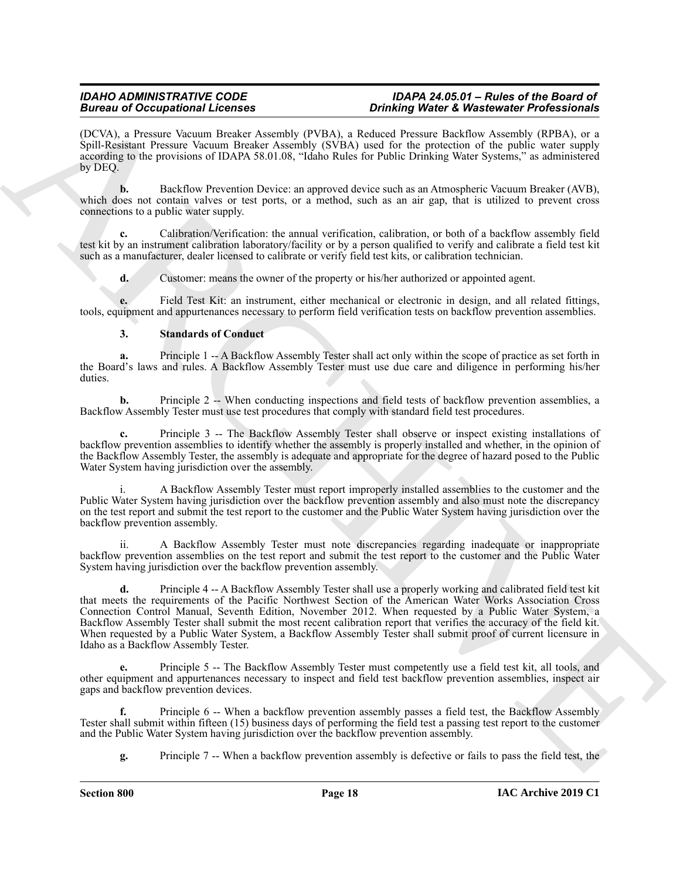(DCVA), a Pressure Vacuum Breaker Assembly (PVBA), a Reduced Pressure Backflow Assembly (RPBA), or a Spill-Resistant Pressure Vacuum Breaker Assembly (SVBA) used for the protection of the public water supply according to the provisions of IDAPA 58.01.08, "Idaho Rules for Public Drinking Water Systems," as administered by DEQ.

**b.** Backflow Prevention Device: an approved device such as an Atmospheric Vacuum Breaker (AVB), which does not contain valves or test ports, or a method, such as an air gap, that is utilized to prevent cross connections to a public water supply.

**c.** Calibration/Verification: the annual verification, calibration, or both of a backflow assembly field test kit by an instrument calibration laboratory/facility or by a person qualified to verify and calibrate a field test kit such as a manufacturer, dealer licensed to calibrate or verify field test kits, or calibration technician.

**d.** Customer: means the owner of the property or his/her authorized or appointed agent.

**e.** Field Test Kit: an instrument, either mechanical or electronic in design, and all related fittings, tools, equipment and appurtenances necessary to perform field verification tests on backflow prevention assemblies.

# **3. Standards of Conduct**

Principle 1 -- A Backflow Assembly Tester shall act only within the scope of practice as set forth in the Board's laws and rules. A Backflow Assembly Tester must use due care and diligence in performing his/her duties.

**b.** Principle 2 -- When conducting inspections and field tests of backflow prevention assemblies, a Backflow Assembly Tester must use test procedures that comply with standard field test procedures.

**c.** Principle 3 -- The Backflow Assembly Tester shall observe or inspect existing installations of backflow prevention assemblies to identify whether the assembly is properly installed and whether, in the opinion of the Backflow Assembly Tester, the assembly is adequate and appropriate for the degree of hazard posed to the Public Water System having jurisdiction over the assembly.

i. A Backflow Assembly Tester must report improperly installed assemblies to the customer and the Public Water System having jurisdiction over the backflow prevention assembly and also must note the discrepancy on the test report and submit the test report to the customer and the Public Water System having jurisdiction over the backflow prevention assembly.

ii. A Backflow Assembly Tester must note discrepancies regarding inadequate or inappropriate backflow prevention assemblies on the test report and submit the test report to the customer and the Public Water System having jurisdiction over the backflow prevention assembly.

Because of Comparison Licencois<br>
(PCVA), a Possimula (several Because of VAIA), a Raining Presse Real Because of Waisley Real Because of Comparison (PCIA), we split the second of Comparison Comparison (PCIA), we split the **d.** Principle 4 -- A Backflow Assembly Tester shall use a properly working and calibrated field test kit that meets the requirements of the Pacific Northwest Section of the American Water Works Association Cross Connection Control Manual, Seventh Edition, November 2012. When requested by a Public Water System, a Backflow Assembly Tester shall submit the most recent calibration report that verifies the accuracy of the field kit. When requested by a Public Water System, a Backflow Assembly Tester shall submit proof of current licensure in Idaho as a Backflow Assembly Tester.

Principle 5 -- The Backflow Assembly Tester must competently use a field test kit, all tools, and other equipment and appurtenances necessary to inspect and field test backflow prevention assemblies, inspect air gaps and backflow prevention devices.

**f.** Principle 6 -- When a backflow prevention assembly passes a field test, the Backflow Assembly Tester shall submit within fifteen (15) business days of performing the field test a passing test report to the customer and the Public Water System having jurisdiction over the backflow prevention assembly.

**g.** Principle 7 -- When a backflow prevention assembly is defective or fails to pass the field test, the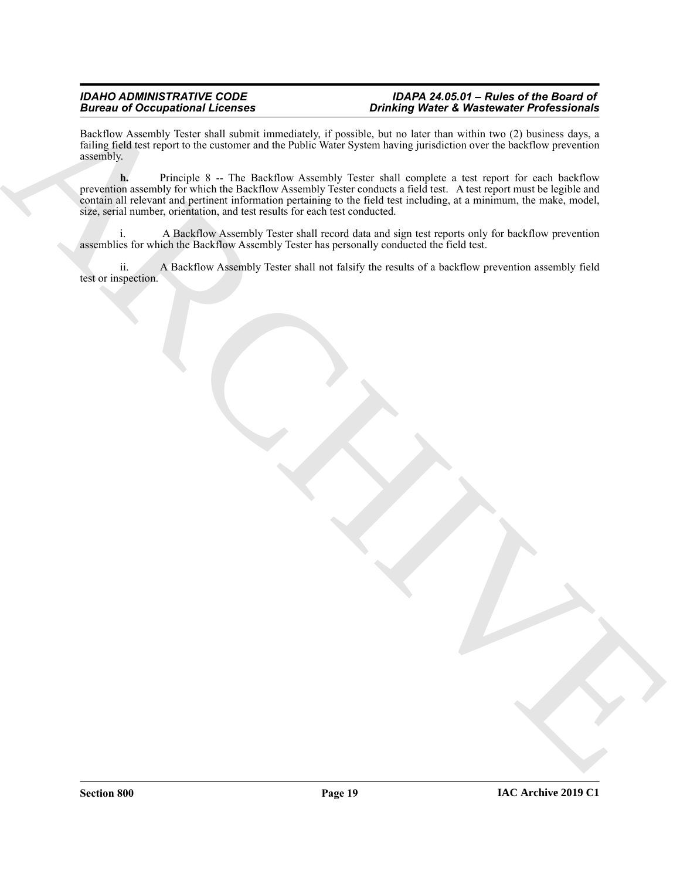Backflow Assembly Tester shall submit immediately, if possible, but no later than within two (2) business days, a failing field test report to the customer and the Public Water System having jurisdiction over the backflow prevention assembly.

Bestein and Occupational Licensins<br>
Bestilter Archives of the construction in the Policy March Street Street Street Street Street Street Street Street Street Street Street Street Street Street Street Street Street Street **h.** Principle 8 -- The Backflow Assembly Tester shall complete a test report for each backflow prevention assembly for which the Backflow Assembly Tester conducts a field test. A test report must be legible and contain all relevant and pertinent information pertaining to the field test including, at a minimum, the make, model, size, serial number, orientation, and test results for each test conducted.

A Backflow Assembly Tester shall record data and sign test reports only for backflow prevention assemblies for which the Backflow Assembly Tester has personally conducted the field test.

ii. A Backflow Assembly Tester shall not falsify the results of a backflow prevention assembly field test or inspection.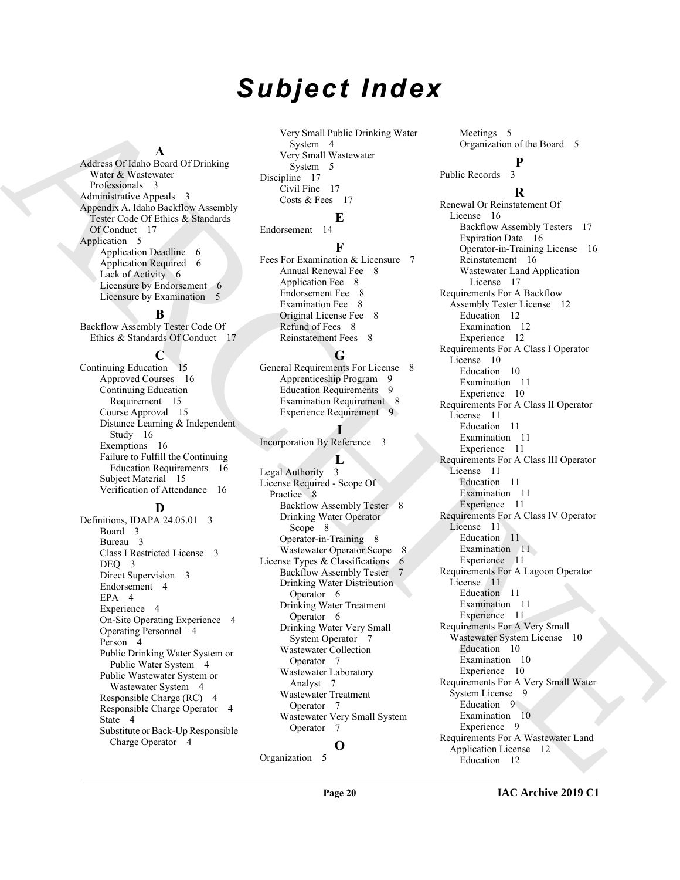# *Subject Index*

#### **A**

Address Of Idaho Board Of Drinking Water & Wastewater Professionals 3 Administrative Appeals 3 Appendix A, Idaho Backflow Assembly Tester Code Of Ethics & Standards Of Conduct 17 Application 5 Application Deadline 6 Application Required 6 Lack of Activity 6 Licensure by Endorsement 6 Licensure by Examination 5

**B**

Backflow Assembly Tester Code Of Ethics & Standards Of Conduct 17

**C**

Continuing Education 15 Approved Courses 16 Continuing Education Requirement 15 Course Approval 15 Distance Learning & Independent Study 16 Exemptions 16 Failure to Fulfill the Continuing Education Requirements 16 Subject Material<sup>1</sup> 15 Verification of Attendance 16

# **D**

Definitions, IDAPA 24.05.01 3 Board 3 Bureau 3 Class I Restricted License 3 DEO<sub>3</sub> Direct Supervision 3 Endorsement 4 EPA 4 Experience 4 On-Site Operating Experience 4 Operating Personnel 4 Person 4 Public Drinking Water System or Public Water System 4 Public Wastewater System or Wastewater System 4 Responsible Charge (RC) 4 Responsible Charge Operator 4 State 4 Substitute or Back-Up Responsible Charge Operator 4

Very Small Public Drinking Water System 4 Very Small Wastewater System 5 Discipline 17 Civil Fine 17 Costs & Fees 17

Endorsement 14

# **F**

**E**

Fees For Examination & Licensure 7 Annual Renewal Fee 8 Application Fee 8 Endorsement Fee 8 Examination Fee 8 Original License Fee 8 Refund of Fees 8 Reinstatement Fees 8

### **G**

General Requirements For License 8 Apprenticeship Program 9 Education Requirements 9 Examination Requirement 8 Experience Requirement 9

# **I**

Incorporation By Reference 3

#### **L**

Legal Authority 3 License Required - Scope Of Practice 8 Backflow Assembly Tester 8 Drinking Water Operator Scope 8 Operator-in-Training 8 Wastewater Operator Scope 8 License Types & Classifications  $6$ Backflow Assembly Tester 7 Drinking Water Distribution Operator 6 Drinking Water Treatment Operator 6 Drinking Water Very Small System Operator 7 Wastewater Collection Operator 7 Wastewater Laboratory Analyst 7 Wastewater Treatment Operator 7 Wastewater Very Small System Operator 7 **O**

Meetings 5 Organization of the Board 5 **P**

Public Records 3

# **R**

[A](#page-2-10)[R](#page-16-7)[C](#page-16-8)[H](#page-7-13)[I](#page-10-18)[V](#page-10-22)[E](#page-9-9) Renewal Or Reinstatement Of License 16 Backflow Assembly Testers 17 Expiration Date 16 Operator-in-Training License 16 Reinstatement 16 Wastewater Land Application License 17 Requirements For A Backflow Assembly Tester License 12 Education 12 Examination 12 Experience 12 Requirements For A Class I Operator License 10 Education 10 Examination 11 Experience 10 Requirements For A Class II Operator License 11 Education 11 Examination 11 Experience 11 Requirements For A Class III Operator License 11 Education 11 Examination 11 Experience 11 Requirements For A Class IV Operator License 11 Education 11 Examination 11 Experience 11 Requirements For A Lagoon Operator License 11 Education 11 Examination 11 Experience 11 Requirements For A Very Small Wastewater System License 10 Education 10 Examination 10 Experience 10 Requirements For A Very Small Water System License 9 Education 9 Examination 10 Experience 9 Requirements For A Wastewater Land Application License 12 Education 12

Organization 5